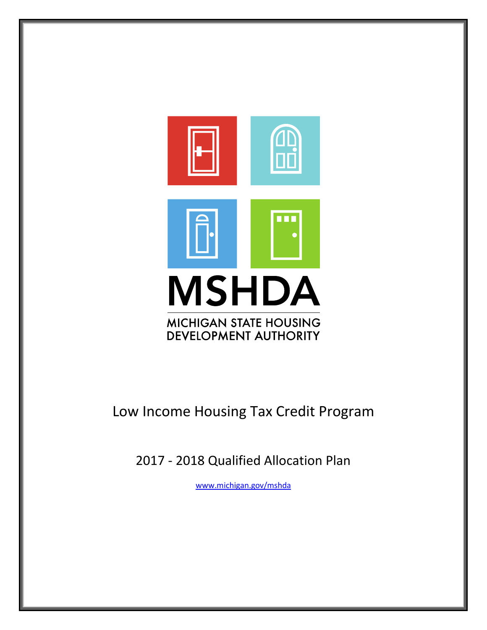

# Low Income Housing Tax Credit Program

2017 - 2018 Qualified Allocation Plan

[www.michigan.gov/mshda](http://www.michigan.gov/mshda)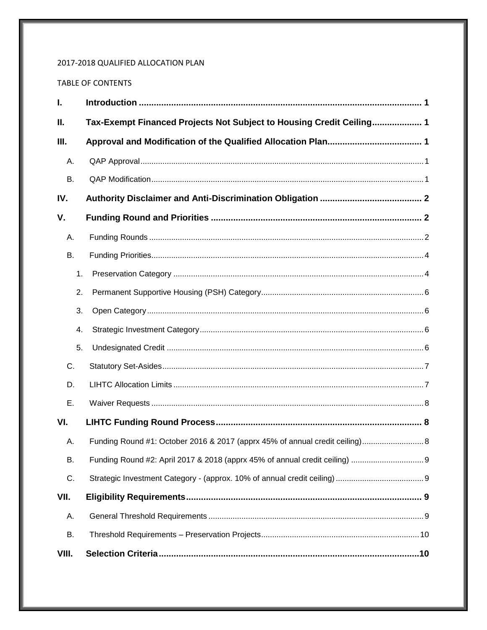# 2017-2018 QUALIFIED ALLOCATION PLAN

## TABLE OF CONTENTS

| I.        |    |                                                                      |
|-----------|----|----------------------------------------------------------------------|
| Ш.        |    | Tax-Exempt Financed Projects Not Subject to Housing Credit Ceiling 1 |
| Ш.        |    |                                                                      |
| Α.        |    |                                                                      |
| <b>B.</b> |    |                                                                      |
| IV.       |    |                                                                      |
| V.        |    |                                                                      |
| А.        |    |                                                                      |
| В.        |    |                                                                      |
|           | 1. |                                                                      |
|           | 2. |                                                                      |
|           | 3. |                                                                      |
|           | 4. |                                                                      |
|           | 5. |                                                                      |
| C.        |    |                                                                      |
| D.        |    |                                                                      |
| Ε.        |    |                                                                      |
| VI.       |    |                                                                      |
| А.        |    |                                                                      |
| <b>B.</b> |    |                                                                      |
| C.        |    |                                                                      |
| VII.      |    |                                                                      |
| А.        |    |                                                                      |
| В.        |    |                                                                      |
| VIII.     |    |                                                                      |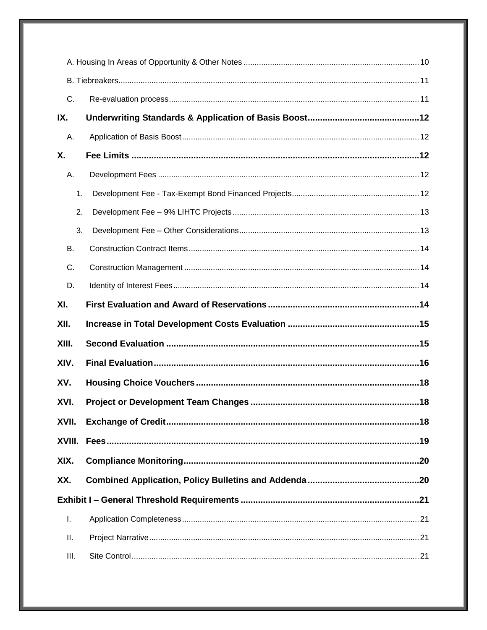| C.     |  |  |  |
|--------|--|--|--|
| IX.    |  |  |  |
| А.     |  |  |  |
| X.     |  |  |  |
| А.     |  |  |  |
| 1.     |  |  |  |
| 2.     |  |  |  |
| 3.     |  |  |  |
| В.     |  |  |  |
| C.     |  |  |  |
| D.     |  |  |  |
| XI.    |  |  |  |
| XII.   |  |  |  |
| XIII.  |  |  |  |
| XIV.   |  |  |  |
| XV.    |  |  |  |
| XVI.   |  |  |  |
| XVII.  |  |  |  |
| XVIII. |  |  |  |
| XIX.   |  |  |  |
| XX.    |  |  |  |
|        |  |  |  |
| Τ.     |  |  |  |
| II.    |  |  |  |
| III.   |  |  |  |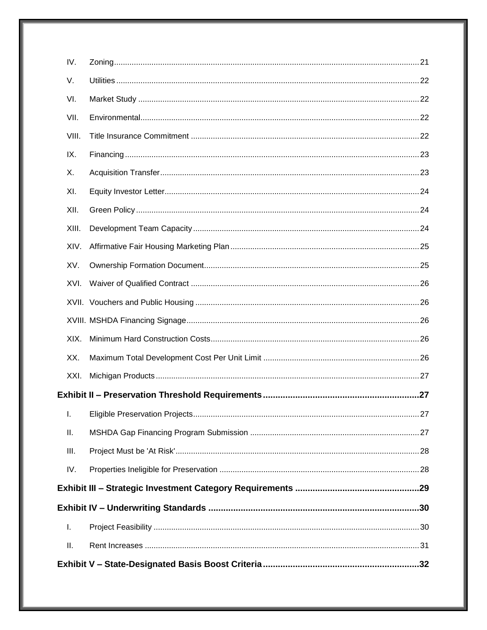| IV.   |  |
|-------|--|
| V.    |  |
| VI.   |  |
| VII.  |  |
| VIII. |  |
| IX.   |  |
| Х.    |  |
| XI.   |  |
| XII.  |  |
| XIII. |  |
| XIV.  |  |
| XV.   |  |
| XVI.  |  |
|       |  |
|       |  |
| XIX.  |  |
| XX.   |  |
| XXI.  |  |
|       |  |
| Ι.    |  |
| Ш.    |  |
| III.  |  |
| IV.   |  |
|       |  |
|       |  |
| I.    |  |
| ΙΙ.   |  |
|       |  |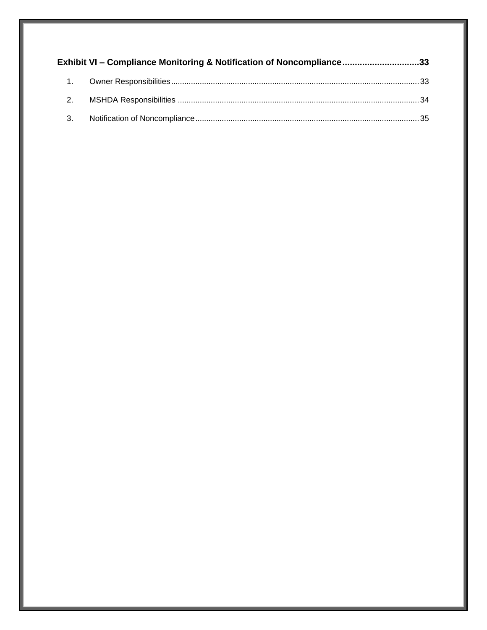|                  | <b>Exhibit VI – Compliance Monitoring &amp; Notification of Noncompliance33</b> |  |
|------------------|---------------------------------------------------------------------------------|--|
| $\overline{1}$ . |                                                                                 |  |
| 2.               |                                                                                 |  |
| 3.               |                                                                                 |  |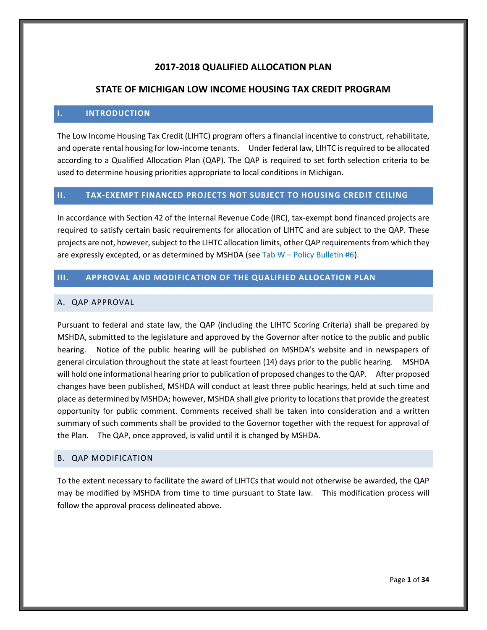# **2017-2018 QUALIFIED ALLOCATION PLAN**

## **STATE OF MICHIGAN LOW INCOME HOUSING TAX CREDIT PROGRAM**

#### <span id="page-5-0"></span>**I. INTRODUCTION**

The Low Income Housing Tax Credit (LIHTC) program offers a financial incentive to construct, rehabilitate, and operate rental housing for low-income tenants. Under federal law, LIHTC is required to be allocated according to a Qualified Allocation Plan (QAP). The QAP is required to set forth selection criteria to be used to determine housing priorities appropriate to local conditions in Michigan.

#### <span id="page-5-1"></span>**II. TAX-EXEMPT FINANCED PROJECTS NOT SUBJECT TO HOUSING CREDIT CEILING**

In accordance with Section 42 of the Internal Revenue Code (IRC), tax-exempt bond financed projects are required to satisfy certain basic requirements for allocation of LIHTC and are subject to the QAP. These projects are not, however, subject to the LIHTC allocation limits, other QAP requirements from which they are expressly excepted, or as determined by MSHDA (see Tab  $W$  – Policy Bulletin #6).

## <span id="page-5-2"></span>**III. APPROVAL AND MODIFICATION OF THE QUALIFIED ALLOCATION PLAN**

#### <span id="page-5-3"></span>A. QAP APPROVAL

Pursuant to federal and state law, the QAP (including the LIHTC Scoring Criteria) shall be prepared by MSHDA, submitted to the legislature and approved by the Governor after notice to the public and public hearing. Notice of the public hearing will be published on MSHDA's website and in newspapers of general circulation throughout the state at least fourteen (14) days prior to the public hearing. MSHDA will hold one informational hearing prior to publication of proposed changes to the QAP. After proposed changes have been published, MSHDA will conduct at least three public hearings, held at such time and place as determined by MSHDA; however, MSHDA shall give priority to locations that provide the greatest opportunity for public comment. Comments received shall be taken into consideration and a written summary of such comments shall be provided to the Governor together with the request for approval of the Plan. The QAP, once approved, is valid until it is changed by MSHDA.

## <span id="page-5-4"></span>B. QAP MODIFICATION

To the extent necessary to facilitate the award of LIHTCs that would not otherwise be awarded, the QAP may be modified by MSHDA from time to time pursuant to State law. This modification process will follow the approval process delineated above.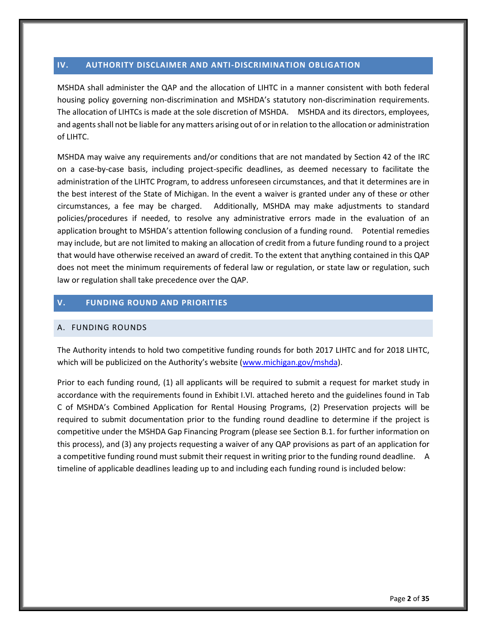## <span id="page-6-0"></span>**IV. AUTHORITY DISCLAIMER AND ANTI-DISCRIMINATION OBLIGATION**

MSHDA shall administer the QAP and the allocation of LIHTC in a manner consistent with both federal housing policy governing non-discrimination and MSHDA's statutory non-discrimination requirements. The allocation of LIHTCs is made at the sole discretion of MSHDA. MSHDA and its directors, employees, and agents shall not be liable for any matters arising out of or in relation to the allocation or administration of LIHTC.

MSHDA may waive any requirements and/or conditions that are not mandated by Section 42 of the IRC on a case-by-case basis, including project-specific deadlines, as deemed necessary to facilitate the administration of the LIHTC Program, to address unforeseen circumstances, and that it determines are in the best interest of the State of Michigan. In the event a waiver is granted under any of these or other circumstances, a fee may be charged. Additionally, MSHDA may make adjustments to standard policies/procedures if needed, to resolve any administrative errors made in the evaluation of an application brought to MSHDA's attention following conclusion of a funding round. Potential remedies may include, but are not limited to making an allocation of credit from a future funding round to a project that would have otherwise received an award of credit. To the extent that anything contained in this QAP does not meet the minimum requirements of federal law or regulation, or state law or regulation, such law or regulation shall take precedence over the QAP.

## <span id="page-6-1"></span>**V. FUNDING ROUND AND PRIORITIES**

## <span id="page-6-2"></span>A. FUNDING ROUNDS

The Authority intends to hold two competitive funding rounds for both 2017 LIHTC and for 2018 LIHTC, which will be publicized on the Authority's website (www.michigan.gov/mshda).

Prior to each funding round, (1) all applicants will be required to submit a request for market study in accordance with the requirements found in Exhibit I.VI. attached hereto and the guidelines found in Tab C of MSHDA's Combined Application for Rental Housing Programs, (2) Preservation projects will be required to submit documentation prior to the funding round deadline to determine if the project is competitive under the MSHDA Gap Financing Program (please see Section B.1. for further information on this process), and (3) any projects requesting a waiver of any QAP provisions as part of an application for a competitive funding round must submit their request in writing prior to the funding round deadline. A timeline of applicable deadlines leading up to and including each funding round is included below: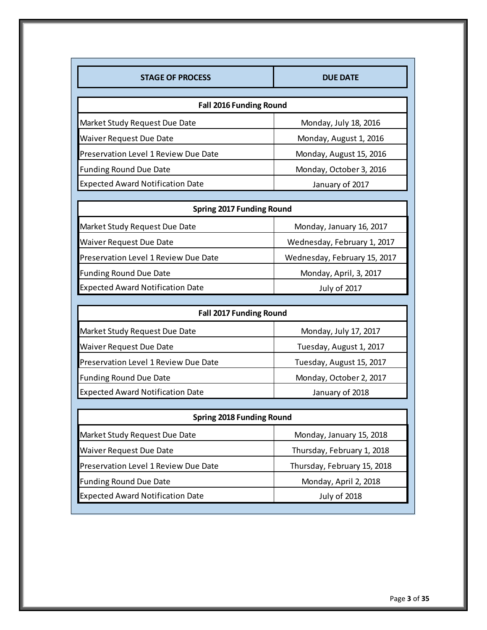| <b>STAGE OF PROCESS</b>                     | <b>DUE DATE</b>              |  |  |
|---------------------------------------------|------------------------------|--|--|
|                                             |                              |  |  |
| <b>Fall 2016 Funding Round</b>              |                              |  |  |
| Market Study Request Due Date               | Monday, July 18, 2016        |  |  |
| Waiver Request Due Date                     | Monday, August 1, 2016       |  |  |
| Preservation Level 1 Review Due Date        | Monday, August 15, 2016      |  |  |
| <b>Funding Round Due Date</b>               | Monday, October 3, 2016      |  |  |
| <b>Expected Award Notification Date</b>     | January of 2017              |  |  |
|                                             |                              |  |  |
| <b>Spring 2017 Funding Round</b>            |                              |  |  |
| Market Study Request Due Date               | Monday, January 16, 2017     |  |  |
| <b>Waiver Request Due Date</b>              | Wednesday, February 1, 2017  |  |  |
| <b>Preservation Level 1 Review Due Date</b> | Wednesday, February 15, 2017 |  |  |
| <b>Funding Round Due Date</b>               | Monday, April, 3, 2017       |  |  |
| <b>Expected Award Notification Date</b>     | July of 2017                 |  |  |
|                                             |                              |  |  |
| Fell 2017 Funding Deund                     |                              |  |  |

| <b>Fall 2017 Funding Round</b> |  |
|--------------------------------|--|
| Monday, July 17, 2017          |  |
| Tuesday, August 1, 2017        |  |
| Tuesday, August 15, 2017       |  |
| Monday, October 2, 2017        |  |
| January of 2018                |  |
|                                |  |

| <b>Spring 2018 Funding Round</b>        |                             |
|-----------------------------------------|-----------------------------|
| Market Study Request Due Date           | Monday, January 15, 2018    |
| <b>Waiver Request Due Date</b>          | Thursday, February 1, 2018  |
| Preservation Level 1 Review Due Date    | Thursday, February 15, 2018 |
| <b>Funding Round Due Date</b>           | Monday, April 2, 2018       |
| <b>Expected Award Notification Date</b> | <b>July of 2018</b>         |
|                                         |                             |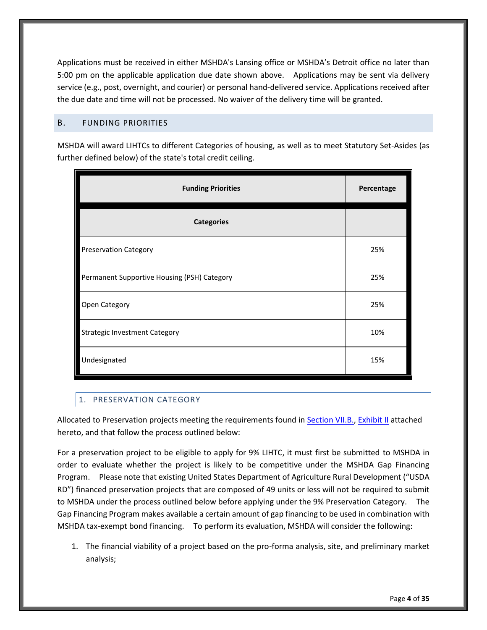Applications must be received in either MSHDA's Lansing office or MSHDA's Detroit office no later than 5:00 pm on the applicable application due date shown above. Applications may be sent via delivery service (e.g., post, overnight, and courier) or personal hand-delivered service. Applications received after the due date and time will not be processed. No waiver of the delivery time will be granted.

## <span id="page-8-0"></span>B. FUNDING PRIORITIES

MSHDA will award LIHTCs to different Categories of housing, as well as to meet Statutory Set-Asides (as further defined below) of the state's total credit ceiling.

| <b>Funding Priorities</b>                   | Percentage |
|---------------------------------------------|------------|
| <b>Categories</b>                           |            |
| <b>Preservation Category</b>                | 25%        |
| Permanent Supportive Housing (PSH) Category | 25%        |
| Open Category                               | 25%        |
| <b>Strategic Investment Category</b>        | 10%        |
| Undesignated                                | 15%        |

# <span id="page-8-1"></span>1. PRESERVATION CATEGORY

Allocated to Preservation projects meeting the requirements found in [Section VII.B.,](#page-14-0) [Exhibit II](#page-31-1) attached hereto, and that follow the process outlined below:

For a preservation project to be eligible to apply for 9% LIHTC, it must first be submitted to MSHDA in order to evaluate whether the project is likely to be competitive under the MSHDA Gap Financing Program. Please note that existing United States Department of Agriculture Rural Development ("USDA RD") financed preservation projects that are composed of 49 units or less will not be required to submit to MSHDA under the process outlined below before applying under the 9% Preservation Category. The Gap Financing Program makes available a certain amount of gap financing to be used in combination with MSHDA tax-exempt bond financing. To perform its evaluation, MSHDA will consider the following:

1. The financial viability of a project based on the pro-forma analysis, site, and preliminary market analysis;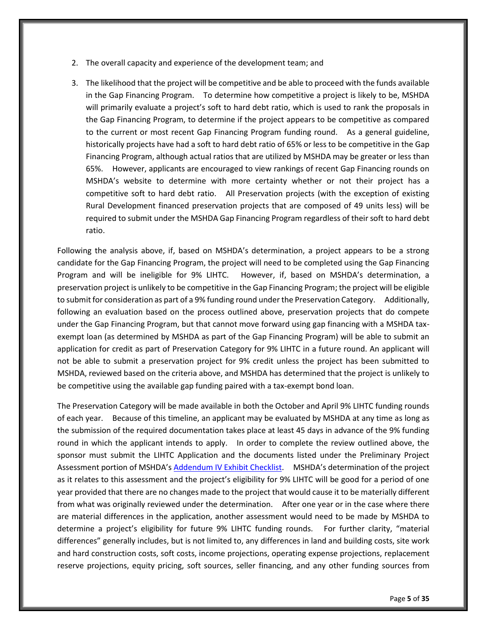- 2. The overall capacity and experience of the development team; and
- 3. The likelihood that the project will be competitive and be able to proceed with the funds available in the Gap Financing Program. To determine how competitive a project is likely to be, MSHDA will primarily evaluate a project's soft to hard debt ratio, which is used to rank the proposals in the Gap Financing Program, to determine if the project appears to be competitive as compared to the current or most recent Gap Financing Program funding round. As a general guideline, historically projects have had a soft to hard debt ratio of 65% or less to be competitive in the Gap Financing Program, although actual ratios that are utilized by MSHDA may be greater or less than 65%. However, applicants are encouraged to view rankings of recent Gap Financing rounds on MSHDA's website to determine with more certainty whether or not their project has a competitive soft to hard debt ratio. All Preservation projects (with the exception of existing Rural Development financed preservation projects that are composed of 49 units less) will be required to submit under the MSHDA Gap Financing Program regardless of their soft to hard debt ratio.

Following the analysis above, if, based on MSHDA's determination, a project appears to be a strong candidate for the Gap Financing Program, the project will need to be completed using the Gap Financing Program and will be ineligible for 9% LIHTC. However, if, based on MSHDA's determination, a preservation project is unlikely to be competitive in the Gap Financing Program; the project will be eligible to submit for consideration as part of a 9% funding round under the Preservation Category. Additionally, following an evaluation based on the process outlined above, preservation projects that do compete under the Gap Financing Program, but that cannot move forward using gap financing with a MSHDA taxexempt loan (as determined by MSHDA as part of the Gap Financing Program) will be able to submit an application for credit as part of Preservation Category for 9% LIHTC in a future round. An applicant will not be able to submit a preservation project for 9% credit unless the project has been submitted to MSHDA, reviewed based on the criteria above, and MSHDA has determined that the project is unlikely to be competitive using the available gap funding paired with a tax-exempt bond loan.

The Preservation Category will be made available in both the October and April 9% LIHTC funding rounds of each year. Because of this timeline, an applicant may be evaluated by MSHDA at any time as long as the submission of the required documentation takes place at least 45 days in advance of the 9% funding round in which the applicant intends to apply. In order to complete the review outlined above, the sponsor must submit the LIHTC Application and the documents listed under the Preliminary Project Assessment portion of MSHDA's [Addendum IV Exhibit Checklist](http://michigan.gov/documents/mshda/MSHDA-Addendum-IV-Exhibit-Checklist-2011-APPROVED_371266_7.pdf). MSHDA's determination of the project as it relates to this assessment and the project's eligibility for 9% LIHTC will be good for a period of one year provided that there are no changes made to the project that would cause it to be materially different from what was originally reviewed under the determination. After one year or in the case where there are material differences in the application, another assessment would need to be made by MSHDA to determine a project's eligibility for future 9% LIHTC funding rounds. For further clarity, "material differences" generally includes, but is not limited to, any differences in land and building costs, site work and hard construction costs, soft costs, income projections, operating expense projections, replacement reserve projections, equity pricing, soft sources, seller financing, and any other funding sources from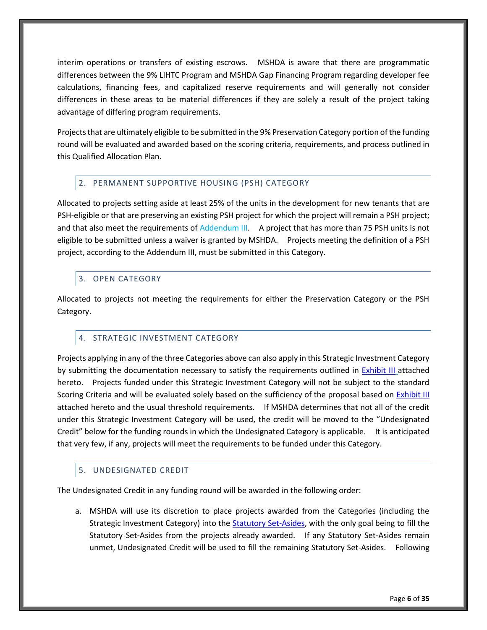interim operations or transfers of existing escrows. MSHDA is aware that there are programmatic differences between the 9% LIHTC Program and MSHDA Gap Financing Program regarding developer fee calculations, financing fees, and capitalized reserve requirements and will generally not consider differences in these areas to be material differences if they are solely a result of the project taking advantage of differing program requirements.

Projects that are ultimately eligible to be submitted in the 9% Preservation Category portion of the funding round will be evaluated and awarded based on the scoring criteria, requirements, and process outlined in this Qualified Allocation Plan.

# <span id="page-10-0"></span>2. PERMANENT SUPPORTIVE HOUSING (PSH) CATEGORY

Allocated to projects setting aside at least 25% of the units in the development for new tenants that are PSH-eligible or that are preserving an existing PSH project for which the project will remain a PSH project; and that also meet the requirements of Addendum III. A project that has more than 75 PSH units is not eligible to be submitted unless a waiver is granted by MSHDA. Projects meeting the definition of a PSH project, according to the Addendum III, must be submitted in this Category.

# <span id="page-10-1"></span>3. OPEN CATEGORY

Allocated to projects not meeting the requirements for either the Preservation Category or the PSH Category.

# <span id="page-10-2"></span>4. STRATEGIC INVESTMENT CATEGORY

Projects applying in any of the three Categories above can also apply in this Strategic Investment Category by submitting the documentation necessary to satisfy the requirements outlined in [Exhibit III](#page-33-0) attached hereto. Projects funded under this Strategic Investment Category will not be subject to the standard Scoring Criteria and will be evaluated solely based on the sufficiency of the proposal based on [Exhibit III](#page-33-0) attached hereto and the usual threshold requirements. If MSHDA determines that not all of the credit under this Strategic Investment Category will be used, the credit will be moved to the "Undesignated Credit" below for the funding rounds in which the Undesignated Category is applicable. It is anticipated that very few, if any, projects will meet the requirements to be funded under this Category.

## <span id="page-10-3"></span>5. UNDESIGNATED CREDIT

The Undesignated Credit in any funding round will be awarded in the following order:

a. MSHDA will use its discretion to place projects awarded from the Categories (including the Strategic Investment Category) into the **Statutory Set-Asides**, with the only goal being to fill the Statutory Set-Asides from the projects already awarded. If any Statutory Set-Asides remain unmet, Undesignated Credit will be used to fill the remaining Statutory Set-Asides. Following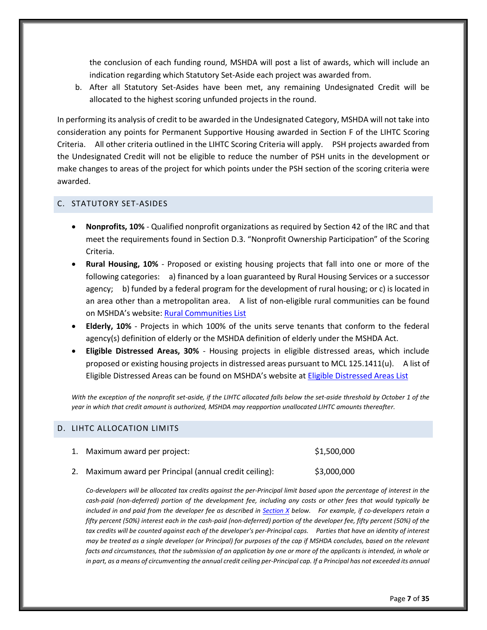the conclusion of each funding round, MSHDA will post a list of awards, which will include an indication regarding which Statutory Set-Aside each project was awarded from.

b. After all Statutory Set-Asides have been met, any remaining Undesignated Credit will be allocated to the highest scoring unfunded projects in the round.

In performing its analysis of credit to be awarded in the Undesignated Category, MSHDA will not take into consideration any points for Permanent Supportive Housing awarded in Section F of the LIHTC Scoring Criteria. All other criteria outlined in the LIHTC Scoring Criteria will apply. PSH projects awarded from the Undesignated Credit will not be eligible to reduce the number of PSH units in the development or make changes to areas of the project for which points under the PSH section of the scoring criteria were awarded.

#### <span id="page-11-0"></span>C. STATUTORY SET-ASIDES

- **Nonprofits, 10%** Qualified nonprofit organizations as required by Section 42 of the IRC and that meet the requirements found in Section D.3. "Nonprofit Ownership Participation" of the Scoring Criteria.
- **Rural Housing, 10%** Proposed or existing housing projects that fall into one or more of the following categories: a) financed by a loan guaranteed by Rural Housing Services or a successor agency; b) funded by a federal program for the development of rural housing; or c) is located in an area other than a metropolitan area. A list of non-eligible rural communities can be found on MSHDA's website: [Rural Communities List](http://www.michigan.gov/documents/mshda/mshda_li_ca_42_tab_gg_rural_small_comm_list_239066_7.pdf)
- **Elderly, 10%** Projects in which 100% of the units serve tenants that conform to the federal agency(s) definition of elderly or the MSHDA definition of elderly under the MSHDA Act.
- **Eligible Distressed Areas, 30%** Housing projects in eligible distressed areas, which include proposed or existing housing projects in distressed areas pursuant to MCL 125.1411(u). A list of Eligible Distressed Areas can be found on MSHDA's website at [Eligible Distressed Areas List](http://www.michigan.gov/documents/mshda/mshda_li_ca_17_tab_h_elig_dist_areas_183868_7.pdf)

*With the exception of the nonprofit set-aside, if the LIHTC allocated falls below the set-aside threshold by October 1 of the year in which that credit amount is authorized, MSHDA may reapportion unallocated LIHTC amounts thereafter.*

#### <span id="page-11-1"></span>D. LIHTC ALLOCATION LIMITS

| 1. Maximum award per project:                        | \$1,500,000 |
|------------------------------------------------------|-------------|
| Maximum award per Principal (annual credit ceiling): | \$3,000,000 |

*Co-developers will be allocated tax credits against the per-Principal limit based upon the percentage of interest in the cash-paid (non-deferred) portion of the development fee, including any costs or other fees that would typically be included in and paid from the developer fee as described in [Section X](#page-16-2) below. For example, if co-developers retain a*  fifty percent (50%) interest each in the cash-paid (non-deferred) portion of the developer fee, fifty percent (50%) of the tax credits will be counted against each of the developer's per-Principal caps. Parties that have an identity of interest *may be treated as a single developer (or Principal) for purposes of the cap if MSHDA concludes, based on the relevant facts and circumstances, that the submission of an application by one or more of the applicants is intended, in whole or in part, as a means of circumventing the annual credit ceiling per-Principal cap. If a Principal has not exceeded its annual*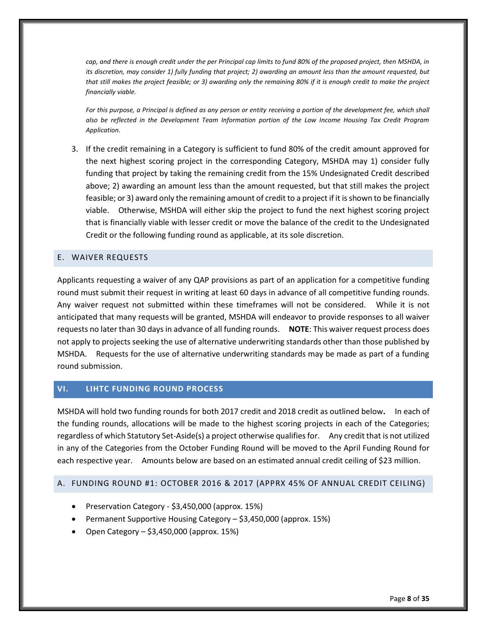*cap, and there is enough credit under the per Principal cap limits to fund 80% of the proposed project, then MSHDA, in its discretion, may consider 1) fully funding that project; 2) awarding an amount less than the amount requested, but that still makes the project feasible; or 3) awarding only the remaining 80% if it is enough credit to make the project financially viable.*

For this purpose, a Principal is defined as any person or entity receiving a portion of the development fee, which shall *also be reflected in the Development Team Information portion of the Low Income Housing Tax Credit Program Application.*

3. If the credit remaining in a Category is sufficient to fund 80% of the credit amount approved for the next highest scoring project in the corresponding Category, MSHDA may 1) consider fully funding that project by taking the remaining credit from the 15% Undesignated Credit described above; 2) awarding an amount less than the amount requested, but that still makes the project feasible; or 3) award only the remaining amount of credit to a project if it is shown to be financially viable. Otherwise, MSHDA will either skip the project to fund the next highest scoring project that is financially viable with lesser credit or move the balance of the credit to the Undesignated Credit or the following funding round as applicable, at its sole discretion.

#### <span id="page-12-0"></span>E. WAIVER REQUESTS

Applicants requesting a waiver of any QAP provisions as part of an application for a competitive funding round must submit their request in writing at least 60 days in advance of all competitive funding rounds. Any waiver request not submitted within these timeframes will not be considered. While it is not anticipated that many requests will be granted, MSHDA will endeavor to provide responses to all waiver requests no later than 30 days in advance of all funding rounds. **NOTE**: This waiver request process does not apply to projects seeking the use of alternative underwriting standards other than those published by MSHDA. Requests for the use of alternative underwriting standards may be made as part of a funding round submission.

## <span id="page-12-1"></span>**VI. LIHTC FUNDING ROUND PROCESS**

MSHDA will hold two funding rounds for both 2017 credit and 2018 credit as outlined below**.** In each of the funding rounds, allocations will be made to the highest scoring projects in each of the Categories; regardless of which Statutory Set-Aside(s) a project otherwise qualifies for. Any credit that is not utilized in any of the Categories from the October Funding Round will be moved to the April Funding Round for each respective year. Amounts below are based on an estimated annual credit ceiling of \$23 million.

## <span id="page-12-2"></span>A. FUNDING ROUND #1: OCTOBER 2016 & 2017 (APPRX 45% OF ANNUAL CREDIT CEILING)

- Preservation Category \$3,450,000 (approx. 15%)
- Permanent Supportive Housing Category \$3,450,000 (approx. 15%)
- Open Category \$3,450,000 (approx. 15%)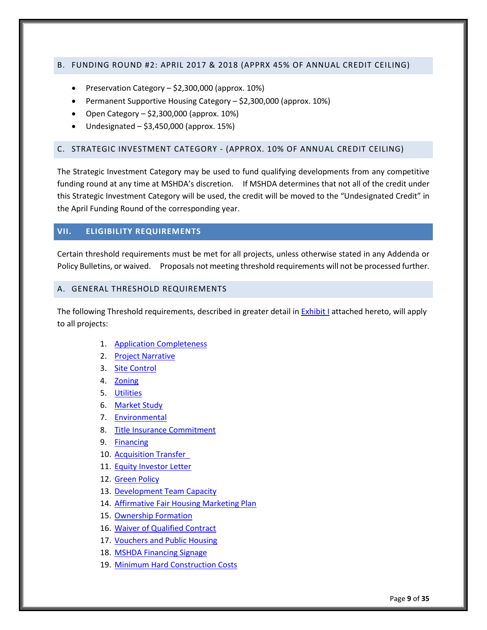#### <span id="page-13-0"></span>B. FUNDING ROUND #2: APRIL 2017 & 2018 (APPRX 45% OF ANNUAL CREDIT CEILING)

- Preservation Category \$2,300,000 (approx. 10%)
- Permanent Supportive Housing Category \$2,300,000 (approx. 10%)
- Open Category  $-$  \$2,300,000 (approx. 10%)
- $\bullet$  Undesignated \$3,450,000 (approx. 15%)

#### <span id="page-13-1"></span>C. STRATEGIC INVESTMENT CATEGORY - (APPROX. 10% OF ANNUAL CREDIT CEILING)

The Strategic Investment Category may be used to fund qualifying developments from any competitive funding round at any time at MSHDA's discretion. If MSHDA determines that not all of the credit under this Strategic Investment Category will be used, the credit will be moved to the "Undesignated Credit" in the April Funding Round of the corresponding year.

#### <span id="page-13-2"></span>**VII. ELIGIBILITY REQUIREMENTS**

Certain threshold requirements must be met for all projects, unless otherwise stated in any Addenda or Policy Bulletins, or waived. Proposals not meeting threshold requirements will not be processed further.

#### <span id="page-13-3"></span>A. GENERAL THRESHOLD REQUIREMENTS

The following Threshold requirements, described in greater detail i[n Exhibit I](#page-25-0) attached hereto, will apply to all projects:

- 1. [Application Completeness](#page-25-1)
- 2. [Project Narrative](#page-25-1)
- 3. [Site Control](#page-25-5)
- 4. [Zoning](#page-25-6)
- 5. [Utilities](#page-26-4)
- 6. [Market Study](#page-26-5)
- 7. [Environmental](#page-26-6)
- 8. [Title Insurance Commitment](#page-26-3)
- 9. [Financing](#page-27-2)
- 10. [Acquisition Transfer](#page-27-1)
- 11. [Equity Investor Letter](#page-27-3)
- 12. [Green Policy](#page-28-3)
- 13. [Development Team Capacity](#page-28-2)
- 14. [Affirmative Fair Housing Marketing Plan](#page-29-0)
- 15. [Ownership Formation](#page-29-1)
- 16. [Waiver of Qualified Contract](#page-29-2)
- 17. [Vouchers and Public Housing](#page-30-1)
- 18. [MSHDA Financing Signage](#page-30-2)
- 19. [Minimum Hard Construction Costs](#page-30-3)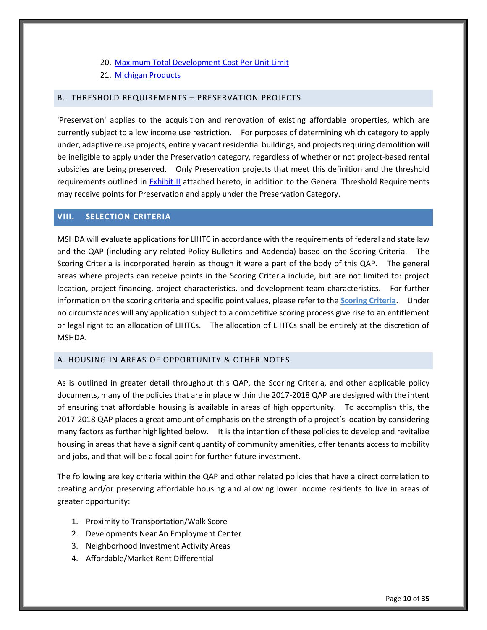- 20. Maximum Total Development Cost Per Unit Limit
- 21. [Michigan Products](#page-31-0)

#### <span id="page-14-0"></span>B. THRESHOLD REQUIREMENTS – PRESERVATION PROJECTS

'Preservation' applies to the acquisition and renovation of existing affordable properties, which are currently subject to a low income use restriction. For purposes of determining which category to apply under, adaptive reuse projects, entirely vacant residential buildings, and projects requiring demolition will be ineligible to apply under the Preservation category, regardless of whether or not project-based rental subsidies are being preserved. Only Preservation projects that meet this definition and the threshold requirements outlined in **Exhibit II** attached hereto, in addition to the General Threshold Requirements may receive points for Preservation and apply under the Preservation Category.

#### <span id="page-14-1"></span>**VIII. SELECTION CRITERIA**

MSHDA will evaluate applications for LIHTC in accordance with the requirements of federal and state law and the QAP (including any related Policy Bulletins and Addenda) based on the Scoring Criteria. The Scoring Criteria is incorporated herein as though it were a part of the body of this QAP. The general areas where projects can receive points in the Scoring Criteria include, but are not limited to: project location, project financing, project characteristics, and development team characteristics. For further information on the scoring criteria and specific point values, please refer to the **Scoring Criteria**. Under no circumstances will any application subject to a competitive scoring process give rise to an entitlement or legal right to an allocation of LIHTCs. The allocation of LIHTCs shall be entirely at the discretion of MSHDA.

## <span id="page-14-2"></span>A. HOUSING IN AREAS OF OPPORTUNITY & OTHER NOTES

As is outlined in greater detail throughout this QAP, the Scoring Criteria, and other applicable policy documents, many of the policies that are in place within the 2017-2018 QAP are designed with the intent of ensuring that affordable housing is available in areas of high opportunity. To accomplish this, the 2017-2018 QAP places a great amount of emphasis on the strength of a project's location by considering many factors as further highlighted below. It is the intention of these policies to develop and revitalize housing in areas that have a significant quantity of community amenities, offer tenants access to mobility and jobs, and that will be a focal point for further future investment.

The following are key criteria within the QAP and other related policies that have a direct correlation to creating and/or preserving affordable housing and allowing lower income residents to live in areas of greater opportunity:

- 1. Proximity to Transportation/Walk Score
- 2. Developments Near An Employment Center
- 3. Neighborhood Investment Activity Areas
- 4. Affordable/Market Rent Differential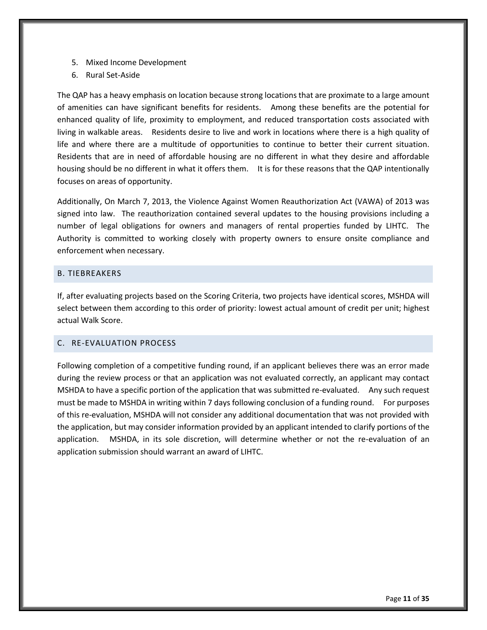- 5. Mixed Income Development
- 6. Rural Set-Aside

The QAP has a heavy emphasis on location because strong locations that are proximate to a large amount of amenities can have significant benefits for residents. Among these benefits are the potential for enhanced quality of life, proximity to employment, and reduced transportation costs associated with living in walkable areas. Residents desire to live and work in locations where there is a high quality of life and where there are a multitude of opportunities to continue to better their current situation. Residents that are in need of affordable housing are no different in what they desire and affordable housing should be no different in what it offers them. It is for these reasons that the QAP intentionally focuses on areas of opportunity.

Additionally, On March 7, 2013, the Violence Against Women Reauthorization Act (VAWA) of 2013 was signed into law. The reauthorization contained several updates to the housing provisions including a number of legal obligations for owners and managers of rental properties funded by LIHTC. The Authority is committed to working closely with property owners to ensure onsite compliance and enforcement when necessary.

#### <span id="page-15-0"></span>B. TIEBREAKERS

If, after evaluating projects based on the Scoring Criteria, two projects have identical scores, MSHDA will select between them according to this order of priority: lowest actual amount of credit per unit; highest actual Walk Score.

## <span id="page-15-1"></span>C. RE-EVALUATION PROCESS

Following completion of a competitive funding round, if an applicant believes there was an error made during the review process or that an application was not evaluated correctly, an applicant may contact MSHDA to have a specific portion of the application that was submitted re-evaluated. Any such request must be made to MSHDA in writing within 7 days following conclusion of a funding round. For purposes of this re-evaluation, MSHDA will not consider any additional documentation that was not provided with the application, but may consider information provided by an applicant intended to clarify portions of the application. MSHDA, in its sole discretion, will determine whether or not the re-evaluation of an application submission should warrant an award of LIHTC.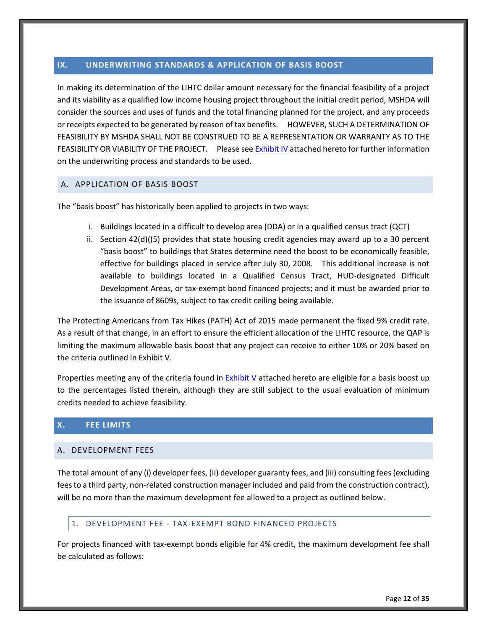## <span id="page-16-0"></span>**IX. UNDERWRITING STANDARDS & APPLICATION OF BASIS BOOST**

In making its determination of the LIHTC dollar amount necessary for the financial feasibility of a project and its viability as a qualified low income housing project throughout the initial credit period, MSHDA will consider the sources and uses of funds and the total financing planned for the project, and any proceeds or receipts expected to be generated by reason of tax benefits. HOWEVER, SUCH A DETERMINATION OF FEASIBILITY BY MSHDA SHALL NOT BE CONSTRUED TO BE A REPRESENTATION OR WARRANTY AS TO THE FEASIBILITY OR VIABILITY OF THE PROJECT. Please se[e Exhibit IV](#page-34-0) attached hereto for further information on the underwriting process and standards to be used.

## <span id="page-16-1"></span>A. APPLICATION OF BASIS BOOST

The "basis boost" has historically been applied to projects in two ways:

- i. Buildings located in a difficult to develop area (DDA) or in a qualified census tract (QCT)
- ii. Section 42(d)((5) provides that state housing credit agencies may award up to a 30 percent "basis boost" to buildings that States determine need the boost to be economically feasible, effective for buildings placed in service after July 30, 2008. This additional increase is not available to buildings located in a Qualified Census Tract, HUD-designated Difficult Development Areas, or tax-exempt bond financed projects; and it must be awarded prior to the issuance of 8609s, subject to tax credit ceiling being available.

The Protecting Americans from Tax Hikes (PATH) Act of 2015 made permanent the fixed 9% credit rate. As a result of that change, in an effort to ensure the efficient allocation of the LIHTC resource, the QAP is limiting the maximum allowable basis boost that any project can receive to either 10% or 20% based on the criteria outlined in Exhibit V.

Properties meeting any of the criteria found in [Exhibit V](#page-36-0) attached hereto are eligible for a basis boost up to the percentages listed therein, although they are still subject to the usual evaluation of minimum credits needed to achieve feasibility.

#### <span id="page-16-2"></span>**X. FEE LIMITS**

#### <span id="page-16-3"></span>A. DEVELOPMENT FEES

The total amount of any (i) developer fees, (ii) developer guaranty fees, and (iii) consulting fees (excluding fees to a third party, non-related construction manager included and paid from the construction contract), will be no more than the maximum development fee allowed to a project as outlined below.

#### <span id="page-16-4"></span>1. DEVELOPMENT FEE - TAX-EXEMPT BOND FINANCED PROJECTS

For projects financed with tax-exempt bonds eligible for 4% credit, the maximum development fee shall be calculated as follows: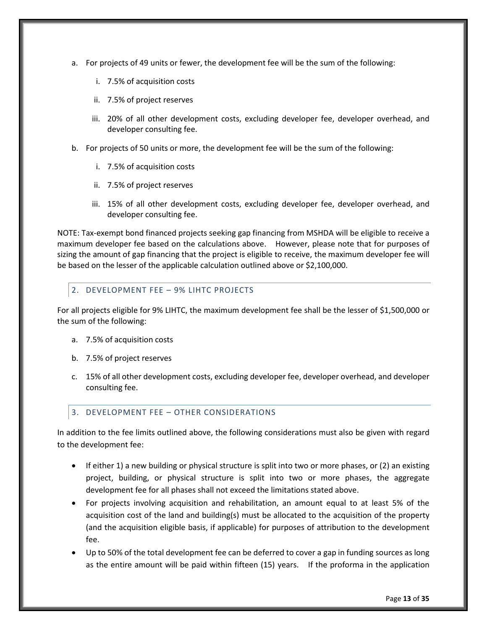- a. For projects of 49 units or fewer, the development fee will be the sum of the following:
	- i. 7.5% of acquisition costs
	- ii. 7.5% of project reserves
	- iii. 20% of all other development costs, excluding developer fee, developer overhead, and developer consulting fee.
- b. For projects of 50 units or more, the development fee will be the sum of the following:
	- i. 7.5% of acquisition costs
	- ii. 7.5% of project reserves
	- iii. 15% of all other development costs, excluding developer fee, developer overhead, and developer consulting fee.

NOTE: Tax-exempt bond financed projects seeking gap financing from MSHDA will be eligible to receive a maximum developer fee based on the calculations above. However, please note that for purposes of sizing the amount of gap financing that the project is eligible to receive, the maximum developer fee will be based on the lesser of the applicable calculation outlined above or \$2,100,000.

## <span id="page-17-0"></span>2. DEVELOPMENT FEE – 9% LIHTC PROJECTS

For all projects eligible for 9% LIHTC, the maximum development fee shall be the lesser of \$1,500,000 or the sum of the following:

- a. 7.5% of acquisition costs
- b. 7.5% of project reserves
- c. 15% of all other development costs, excluding developer fee, developer overhead, and developer consulting fee.

## <span id="page-17-1"></span>3. DEVELOPMENT FEE – OTHER CONSIDERATIONS

In addition to the fee limits outlined above, the following considerations must also be given with regard to the development fee:

- If either 1) a new building or physical structure is split into two or more phases, or (2) an existing project, building, or physical structure is split into two or more phases, the aggregate development fee for all phases shall not exceed the limitations stated above.
- For projects involving acquisition and rehabilitation, an amount equal to at least 5% of the acquisition cost of the land and building(s) must be allocated to the acquisition of the property (and the acquisition eligible basis, if applicable) for purposes of attribution to the development fee.
- Up to 50% of the total development fee can be deferred to cover a gap in funding sources as long as the entire amount will be paid within fifteen (15) years. If the proforma in the application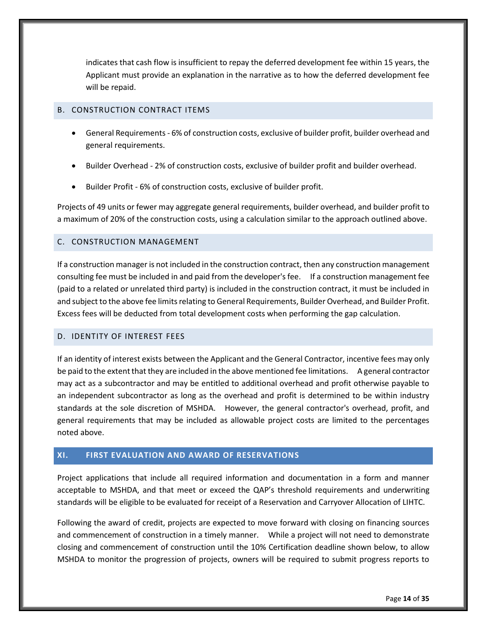indicates that cash flow is insufficient to repay the deferred development fee within 15 years, the Applicant must provide an explanation in the narrative as to how the deferred development fee will be repaid.

## <span id="page-18-0"></span>B. CONSTRUCTION CONTRACT ITEMS

- General Requirements 6% of construction costs, exclusive of builder profit, builder overhead and general requirements.
- Builder Overhead 2% of construction costs, exclusive of builder profit and builder overhead.
- Builder Profit 6% of construction costs, exclusive of builder profit.

Projects of 49 units or fewer may aggregate general requirements, builder overhead, and builder profit to a maximum of 20% of the construction costs, using a calculation similar to the approach outlined above.

## <span id="page-18-1"></span>C. CONSTRUCTION MANAGEMENT

If a construction manager is not included in the construction contract, then any construction management consulting fee must be included in and paid from the developer's fee. If a construction management fee (paid to a related or unrelated third party) is included in the construction contract, it must be included in and subject to the above fee limits relating to General Requirements, Builder Overhead, and Builder Profit. Excess fees will be deducted from total development costs when performing the gap calculation.

#### <span id="page-18-2"></span>D. IDENTITY OF INTEREST FEES

If an identity of interest exists between the Applicant and the General Contractor, incentive fees may only be paid to the extent that they are included in the above mentioned fee limitations. A general contractor may act as a subcontractor and may be entitled to additional overhead and profit otherwise payable to an independent subcontractor as long as the overhead and profit is determined to be within industry standards at the sole discretion of MSHDA. However, the general contractor's overhead, profit, and general requirements that may be included as allowable project costs are limited to the percentages noted above.

## <span id="page-18-3"></span>**XI. FIRST EVALUATION AND AWARD OF RESERVATIONS**

Project applications that include all required information and documentation in a form and manner acceptable to MSHDA, and that meet or exceed the QAP's threshold requirements and underwriting standards will be eligible to be evaluated for receipt of a Reservation and Carryover Allocation of LIHTC.

Following the award of credit, projects are expected to move forward with closing on financing sources and commencement of construction in a timely manner. While a project will not need to demonstrate closing and commencement of construction until the 10% Certification deadline shown below, to allow MSHDA to monitor the progression of projects, owners will be required to submit progress reports to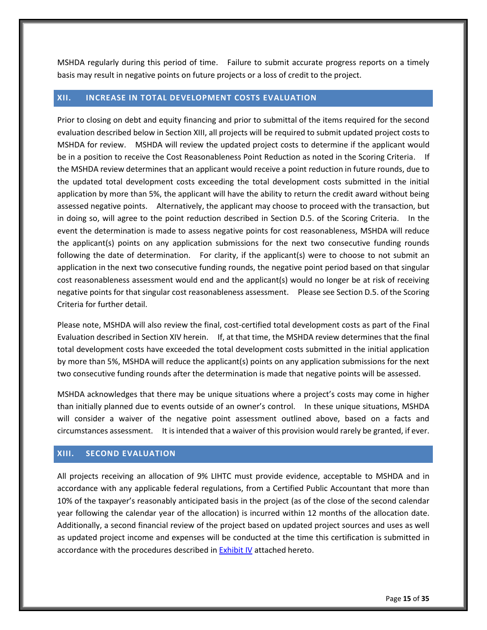MSHDA regularly during this period of time. Failure to submit accurate progress reports on a timely basis may result in negative points on future projects or a loss of credit to the project.

#### <span id="page-19-0"></span>**XII. INCREASE IN TOTAL DEVELOPMENT COSTS EVALUATION**

Prior to closing on debt and equity financing and prior to submittal of the items required for the second evaluation described below in Section XIII, all projects will be required to submit updated project costs to MSHDA for review. MSHDA will review the updated project costs to determine if the applicant would be in a position to receive the Cost Reasonableness Point Reduction as noted in the Scoring Criteria. If the MSHDA review determines that an applicant would receive a point reduction in future rounds, due to the updated total development costs exceeding the total development costs submitted in the initial application by more than 5%, the applicant will have the ability to return the credit award without being assessed negative points. Alternatively, the applicant may choose to proceed with the transaction, but in doing so, will agree to the point reduction described in Section D.5. of the Scoring Criteria. In the event the determination is made to assess negative points for cost reasonableness, MSHDA will reduce the applicant(s) points on any application submissions for the next two consecutive funding rounds following the date of determination. For clarity, if the applicant(s) were to choose to not submit an application in the next two consecutive funding rounds, the negative point period based on that singular cost reasonableness assessment would end and the applicant(s) would no longer be at risk of receiving negative points for that singular cost reasonableness assessment. Please see Section D.5. of the Scoring Criteria for further detail.

Please note, MSHDA will also review the final, cost-certified total development costs as part of the Final Evaluation described in Section XIV herein. If, at that time, the MSHDA review determines that the final total development costs have exceeded the total development costs submitted in the initial application by more than 5%, MSHDA will reduce the applicant(s) points on any application submissions for the next two consecutive funding rounds after the determination is made that negative points will be assessed.

MSHDA acknowledges that there may be unique situations where a project's costs may come in higher than initially planned due to events outside of an owner's control. In these unique situations, MSHDA will consider a waiver of the negative point assessment outlined above, based on a facts and circumstances assessment. It is intended that a waiver of this provision would rarely be granted, if ever.

## <span id="page-19-1"></span>**XIII. SECOND EVALUATION**

All projects receiving an allocation of 9% LIHTC must provide evidence, acceptable to MSHDA and in accordance with any applicable federal regulations, from a Certified Public Accountant that more than 10% of the taxpayer's reasonably anticipated basis in the project (as of the close of the second calendar year following the calendar year of the allocation) is incurred within 12 months of the allocation date. Additionally, a second financial review of the project based on updated project sources and uses as well as updated project income and expenses will be conducted at the time this certification is submitted in accordance with the procedures described i[n Exhibit IV](#page-34-0) attached hereto.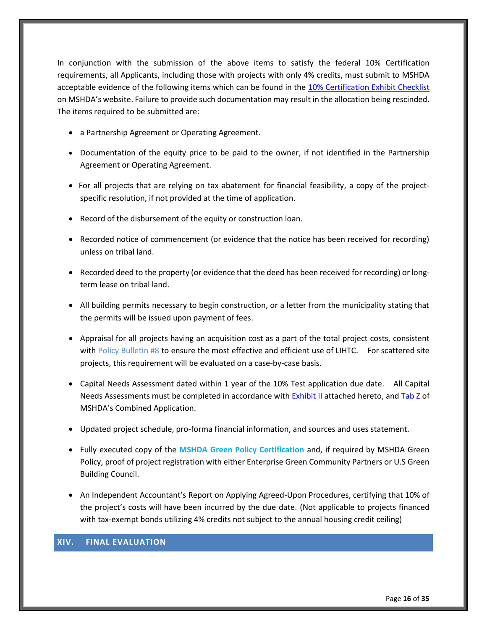In conjunction with the submission of the above items to satisfy the federal 10% Certification requirements, all Applicants, including those with projects with only 4% credits, must submit to MSHDA acceptable evidence of the following items which can be found in the [10% Certification](http://www.michigan.gov/mshda/0,4641,7-141-5587_5601-134725--,00.html) Exhibit Checklist on MSHDA's website. Failure to provide such documentation may result in the allocation being rescinded. The items required to be submitted are:

- a Partnership Agreement or Operating Agreement.
- Documentation of the equity price to be paid to the owner, if not identified in the Partnership Agreement or Operating Agreement.
- For all projects that are relying on tax abatement for financial feasibility, a copy of the projectspecific resolution, if not provided at the time of application.
- Record of the disbursement of the equity or construction loan.
- Recorded notice of commencement (or evidence that the notice has been received for recording) unless on tribal land.
- Recorded deed to the property (or evidence that the deed has been received for recording) or longterm lease on tribal land.
- All building permits necessary to begin construction, or a letter from the municipality stating that the permits will be issued upon payment of fees.
- Appraisal for all projects having an acquisition cost as a part of the total project costs, consistent with Policy Bulletin #8 to ensure the most effective and efficient use of LIHTC. For scattered site projects, this requirement will be evaluated on a case-by-case basis.
- Capital Needs Assessment dated within 1 year of the 10% Test application due date. All Capital Needs Assessments must be completed in accordance with [Exhibit II](#page-31-1) attached hereto, an[d Tab Z o](http://www.michigan.gov/documents/mshda/mshda_li_ca_35_tab_z_capital_needs_assess_183891_7.pdf)f MSHDA's Combined Application.
- Updated project schedule, pro-forma financial information, and sources and uses statement.
- Fully executed copy of the MSHDA Green Policy Certification and, if required by MSHDA Green Policy, proof of project registration with either Enterprise Green Community Partners or U.S Green Building Council.
- An Independent Accountant's Report on Applying Agreed-Upon Procedures, certifying that 10% of the project's costs will have been incurred by the due date. (Not applicable to projects financed with tax-exempt bonds utilizing 4% credits not subject to the annual housing credit ceiling)

# <span id="page-20-0"></span>**XIV. FINAL EVALUATION**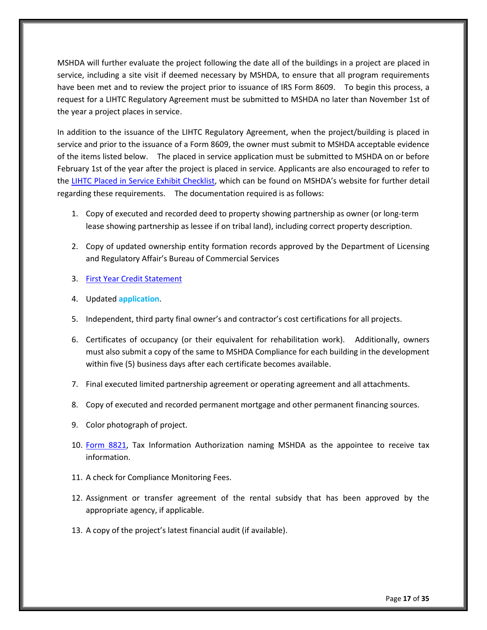MSHDA will further evaluate the project following the date all of the buildings in a project are placed in service, including a site visit if deemed necessary by MSHDA, to ensure that all program requirements have been met and to review the project prior to issuance of IRS Form 8609. To begin this process, a request for a LIHTC Regulatory Agreement must be submitted to MSHDA no later than November 1st of the year a project places in service.

In addition to the issuance of the LIHTC Regulatory Agreement, when the project/building is placed in service and prior to the issuance of a Form 8609, the owner must submit to MSHDA acceptable evidence of the items listed below. The placed in service application must be submitted to MSHDA on or before February 1st of the year after the project is placed in service. Applicants are also encouraged to refer to the [LIHTC Placed in Service Exhibit Checklist](http://www.michigan.gov/mshda/0,4641,7-141-5587_5601-134727--,00.html), which can be found on MSHDA's website for further detail regarding these requirements. The documentation required is as follows:

- 1. Copy of executed and recorded deed to property showing partnership as owner (or long-term lease showing partnership as lessee if on tribal land), including correct property description.
- 2. Copy of updated ownership entity formation records approved by the Department of Licensing and Regulatory Affair's Bureau of Commercial Services
- 3. [First Year Credit Statement](http://www.michigan.gov/mshda/0,4641,7-141-5587_5601-134727--,00.html)
- 4. Updated **application**.
- 5. Independent, third party final owner's and contractor's cost certifications for all projects.
- 6. Certificates of occupancy (or their equivalent for rehabilitation work). Additionally, owners must also submit a copy of the same to MSHDA Compliance for each building in the development within five (5) business days after each certificate becomes available.
- 7. Final executed limited partnership agreement or operating agreement and all attachments.
- 8. Copy of executed and recorded permanent mortgage and other permanent financing sources.
- 9. Color photograph of project.
- 10. [Form 8821,](http://www.michigan.gov/documents/mshda/mshda_li_af_q_irs_form_8821_204518_7.pdf) Tax Information Authorization naming MSHDA as the appointee to receive tax information.
- 11. A check for Compliance Monitoring Fees.
- 12. Assignment or transfer agreement of the rental subsidy that has been approved by the appropriate agency, if applicable.
- 13. A copy of the project's latest financial audit (if available).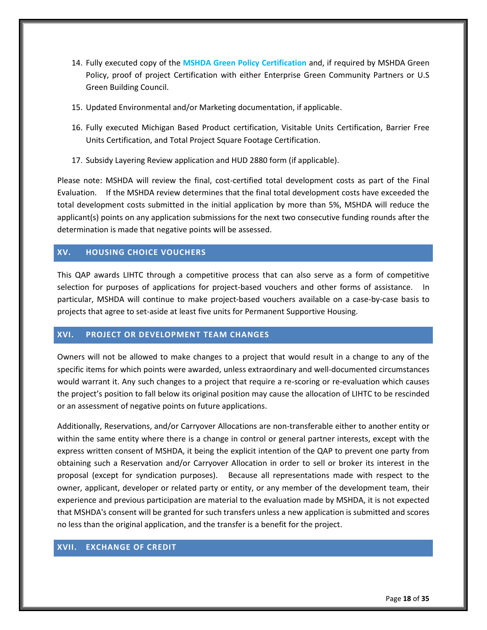- 14. Fully executed copy of the **MSHDA Green Policy Certification** and, if required by MSHDA Green Policy, proof of project Certification with either Enterprise Green Community Partners or U.S Green Building Council.
- 15. Updated Environmental and/or Marketing documentation, if applicable.
- 16. Fully executed Michigan Based Product certification, Visitable Units Certification, Barrier Free Units Certification, and Total Project Square Footage Certification.
- 17. Subsidy Layering Review application and HUD 2880 form (if applicable).

Please note: MSHDA will review the final, cost-certified total development costs as part of the Final Evaluation. If the MSHDA review determines that the final total development costs have exceeded the total development costs submitted in the initial application by more than 5%, MSHDA will reduce the applicant(s) points on any application submissions for the next two consecutive funding rounds after the determination is made that negative points will be assessed.

## <span id="page-22-0"></span>**XV. HOUSING CHOICE VOUCHERS**

This QAP awards LIHTC through a competitive process that can also serve as a form of competitive selection for purposes of applications for project-based vouchers and other forms of assistance. In particular, MSHDA will continue to make project-based vouchers available on a case-by-case basis to projects that agree to set-aside at least five units for Permanent Supportive Housing.

## <span id="page-22-1"></span>**XVI. PROJECT OR DEVELOPMENT TEAM CHANGES**

Owners will not be allowed to make changes to a project that would result in a change to any of the specific items for which points were awarded, unless extraordinary and well-documented circumstances would warrant it. Any such changes to a project that require a re-scoring or re-evaluation which causes the project's position to fall below its original position may cause the allocation of LIHTC to be rescinded or an assessment of negative points on future applications.

Additionally, Reservations, and/or Carryover Allocations are non-transferable either to another entity or within the same entity where there is a change in control or general partner interests, except with the express written consent of MSHDA, it being the explicit intention of the QAP to prevent one party from obtaining such a Reservation and/or Carryover Allocation in order to sell or broker its interest in the proposal (except for syndication purposes). Because all representations made with respect to the owner, applicant, developer or related party or entity, or any member of the development team, their experience and previous participation are material to the evaluation made by MSHDA, it is not expected that MSHDA's consent will be granted for such transfers unless a new application is submitted and scores no less than the original application, and the transfer is a benefit for the project.

## <span id="page-22-2"></span>**XVII. EXCHANGE OF CREDIT**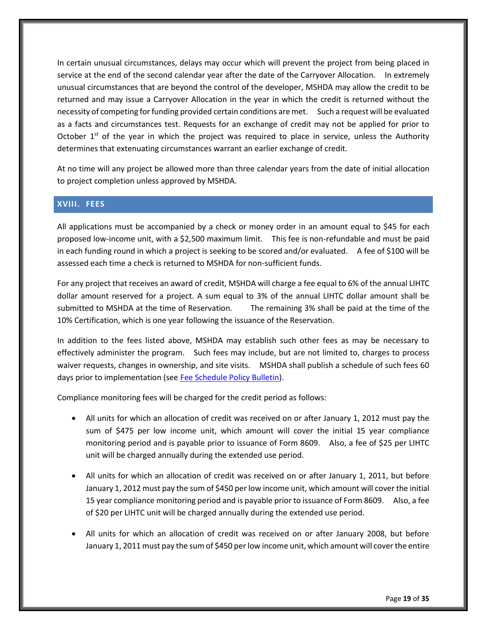In certain unusual circumstances, delays may occur which will prevent the project from being placed in service at the end of the second calendar year after the date of the Carryover Allocation. In extremely unusual circumstances that are beyond the control of the developer, MSHDA may allow the credit to be returned and may issue a Carryover Allocation in the year in which the credit is returned without the necessity of competing for funding provided certain conditions are met. Such a request will be evaluated as a facts and circumstances test. Requests for an exchange of credit may not be applied for prior to October  $1<sup>st</sup>$  of the year in which the project was required to place in service, unless the Authority determines that extenuating circumstances warrant an earlier exchange of credit.

At no time will any project be allowed more than three calendar years from the date of initial allocation to project completion unless approved by MSHDA.

## <span id="page-23-0"></span>**XVIII. FEES**

All applications must be accompanied by a check or money order in an amount equal to \$45 for each proposed low-income unit, with a \$2,500 maximum limit. This fee is non-refundable and must be paid in each funding round in which a project is seeking to be scored and/or evaluated. A fee of \$100 will be assessed each time a check is returned to MSHDA for non-sufficient funds.

For any project that receives an award of credit, MSHDA will charge a fee equal to 6% of the annual LIHTC dollar amount reserved for a project. A sum equal to 3% of the annual LIHTC dollar amount shall be submitted to MSHDA at the time of Reservation. The remaining 3% shall be paid at the time of the 10% Certification, which is one year following the issuance of the Reservation.

In addition to the fees listed above, MSHDA may establish such other fees as may be necessary to effectively administer the program. Such fees may include, but are not limited to, charges to process waiver requests, changes in ownership, and site visits. MSHDA shall publish a schedule of such fees 60 days prior to implementation (se[e Fee Schedule Policy Bulletin\)](http://www.michigan.gov/documents/mshda/mshda_li_ca_32_tab_w_lihtc_policy_bulletins_183888_7.pdf).

Compliance monitoring fees will be charged for the credit period as follows:

- All units for which an allocation of credit was received on or after January 1, 2012 must pay the sum of \$475 per low income unit, which amount will cover the initial 15 year compliance monitoring period and is payable prior to issuance of Form 8609. Also, a fee of \$25 per LIHTC unit will be charged annually during the extended use period.
- All units for which an allocation of credit was received on or after January 1, 2011, but before January 1, 2012 must pay the sum of \$450 per low income unit, which amount will cover the initial 15 year compliance monitoring period and is payable prior to issuance of Form 8609. Also, a fee of \$20 per LIHTC unit will be charged annually during the extended use period.
- All units for which an allocation of credit was received on or after January 2008, but before January 1, 2011 must pay the sum of \$450 per low income unit, which amount will cover the entire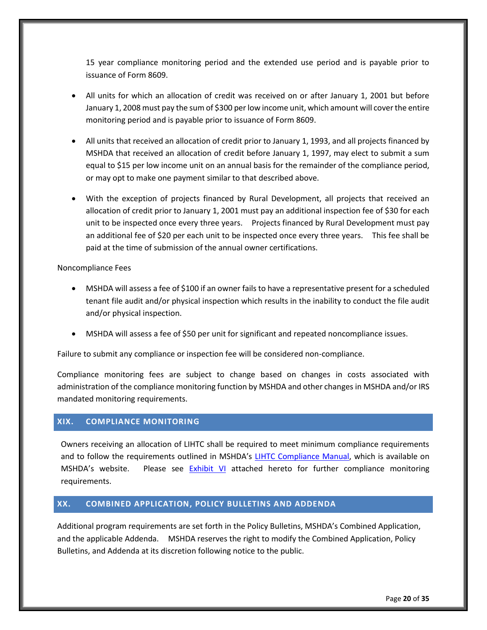15 year compliance monitoring period and the extended use period and is payable prior to issuance of Form 8609.

- All units for which an allocation of credit was received on or after January 1, 2001 but before January 1, 2008 must pay the sum of \$300 per low income unit, which amount will cover the entire monitoring period and is payable prior to issuance of Form 8609.
- All units that received an allocation of credit prior to January 1, 1993, and all projects financed by MSHDA that received an allocation of credit before January 1, 1997, may elect to submit a sum equal to \$15 per low income unit on an annual basis for the remainder of the compliance period, or may opt to make one payment similar to that described above.
- With the exception of projects financed by Rural Development, all projects that received an allocation of credit prior to January 1, 2001 must pay an additional inspection fee of \$30 for each unit to be inspected once every three years. Projects financed by Rural Development must pay an additional fee of \$20 per each unit to be inspected once every three years. This fee shall be paid at the time of submission of the annual owner certifications.

Noncompliance Fees

- MSHDA will assess a fee of \$100 if an owner fails to have a representative present for a scheduled tenant file audit and/or physical inspection which results in the inability to conduct the file audit and/or physical inspection.
- MSHDA will assess a fee of \$50 per unit for significant and repeated noncompliance issues.

Failure to submit any compliance or inspection fee will be considered non-compliance.

Compliance monitoring fees are subject to change based on changes in costs associated with administration of the compliance monitoring function by MSHDA and other changes in MSHDA and/or IRS mandated monitoring requirements.

#### <span id="page-24-0"></span>**XIX. COMPLIANCE MONITORING**

Owners receiving an allocation of LIHTC shall be required to meet minimum compliance requirements and to follow the requirements outlined in MSHDA's [LIHTC Compliance Manual,](http://www.michigan.gov/mshda/0,4641,7-141-8002_26576_26578---,00.html) which is available on MSHDA's website. Please see [Exhibit VI](#page-37-0) attached hereto for further compliance monitoring requirements.

## <span id="page-24-1"></span>**XX. COMBINED APPLICATION, POLICY BULLETINS AND ADDENDA**

Additional program requirements are set forth in the Policy Bulletins, MSHDA's Combined Application, and the applicable Addenda. MSHDA reserves the right to modify the Combined Application, Policy Bulletins, and Addenda at its discretion following notice to the public.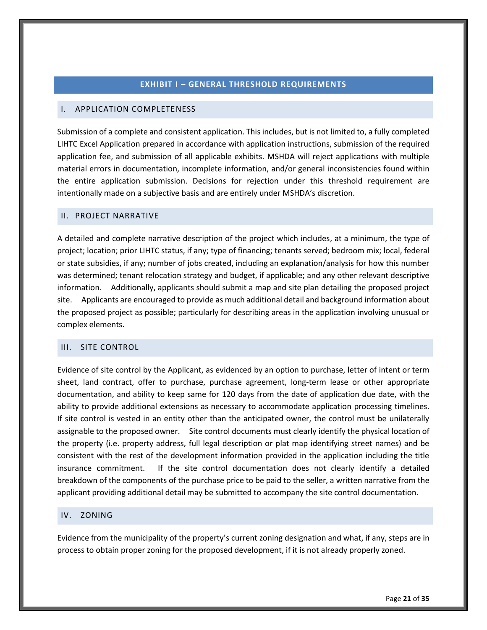#### **EXHIBIT I – GENERAL THRESHOLD REQUIREMENTS**

## <span id="page-25-1"></span><span id="page-25-0"></span>I. APPLICATION COMPLETENESS

Submission of a complete and consistent application. This includes, but is not limited to, a fully completed LIHTC Excel Application prepared in accordance with application instructions, submission of the required application fee, and submission of all applicable exhibits. MSHDA will reject applications with multiple material errors in documentation, incomplete information, and/or general inconsistencies found within the entire application submission. Decisions for rejection under this threshold requirement are intentionally made on a subjective basis and are entirely under MSHDA's discretion.

#### <span id="page-25-2"></span>II. PROJECT NARRATIVE

A detailed and complete narrative description of the project which includes, at a minimum, the type of project; location; prior LIHTC status, if any; type of financing; tenants served; bedroom mix; local, federal or state subsidies, if any; number of jobs created, including an explanation/analysis for how this number was determined; tenant relocation strategy and budget, if applicable; and any other relevant descriptive information. Additionally, applicants should submit a map and site plan detailing the proposed project site. Applicants are encouraged to provide as much additional detail and background information about the proposed project as possible; particularly for describing areas in the application involving unusual or complex elements.

## <span id="page-25-5"></span><span id="page-25-3"></span>III. SITE CONTROL

Evidence of site control by the Applicant, as evidenced by an option to purchase, letter of intent or term sheet, land contract, offer to purchase, purchase agreement, long-term lease or other appropriate documentation, and ability to keep same for 120 days from the date of application due date, with the ability to provide additional extensions as necessary to accommodate application processing timelines. If site control is vested in an entity other than the anticipated owner, the control must be unilaterally assignable to the proposed owner. Site control documents must clearly identify the physical location of the property (i.e. property address, full legal description or plat map identifying street names) and be consistent with the rest of the development information provided in the application including the title insurance commitment. If the site control documentation does not clearly identify a detailed breakdown of the components of the purchase price to be paid to the seller, a written narrative from the applicant providing additional detail may be submitted to accompany the site control documentation.

#### <span id="page-25-6"></span><span id="page-25-4"></span>IV. ZONING

Evidence from the municipality of the property's current zoning designation and what, if any, steps are in process to obtain proper zoning for the proposed development, if it is not already properly zoned.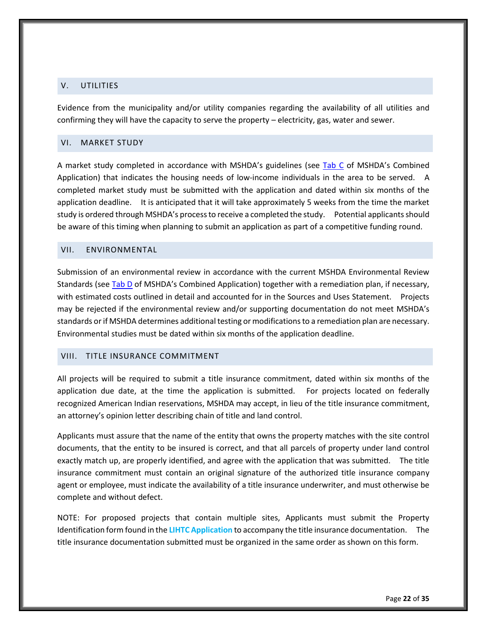## <span id="page-26-4"></span><span id="page-26-0"></span>V. UTILITIES

Evidence from the municipality and/or utility companies regarding the availability of all utilities and confirming they will have the capacity to serve the property – electricity, gas, water and sewer.

#### <span id="page-26-5"></span><span id="page-26-1"></span>VI. MARKET STUDY

A market study completed in accordance with MSHDA's guidelines (see [Tab C](http://www.michigan.gov/mshda/0,4641,7-141-5587_5601-60010--,00.html) of MSHDA's Combined Application) that indicates the housing needs of low-income individuals in the area to be served. A completed market study must be submitted with the application and dated within six months of the application deadline. It is anticipated that it will take approximately 5 weeks from the time the market study is ordered through MSHDA's process to receive a completed the study. Potential applicants should be aware of this timing when planning to submit an application as part of a competitive funding round.

#### <span id="page-26-6"></span><span id="page-26-2"></span>VII. ENVIRONMENTAL

Submission of an environmental review in accordance with the current MSHDA Environmental Review Standards (se[e Tab D](http://www.michigan.gov/mshda/0,4641,7-141-5587_5601-60010--,00.html) of MSHDA's Combined Application) together with a remediation plan, if necessary, with estimated costs outlined in detail and accounted for in the Sources and Uses Statement. Projects may be rejected if the environmental review and/or supporting documentation do not meet MSHDA's standards or if MSHDA determines additional testing or modifications to a remediation plan are necessary. Environmental studies must be dated within six months of the application deadline.

#### <span id="page-26-3"></span>VIII. TITLE INSURANCE COMMITMENT

All projects will be required to submit a title insurance commitment, dated within six months of the application due date, at the time the application is submitted. For projects located on federally recognized American Indian reservations, MSHDA may accept, in lieu of the title insurance commitment, an attorney's opinion letter describing chain of title and land control.

Applicants must assure that the name of the entity that owns the property matches with the site control documents, that the entity to be insured is correct, and that all parcels of property under land control exactly match up, are properly identified, and agree with the application that was submitted. The title insurance commitment must contain an original signature of the authorized title insurance company agent or employee, must indicate the availability of a title insurance underwriter, and must otherwise be complete and without defect.

NOTE: For proposed projects that contain multiple sites, Applicants must submit the Property Identification form found in the **LIHTC Application** to accompany the title insurance documentation. The title insurance documentation submitted must be organized in the same order as shown on this form.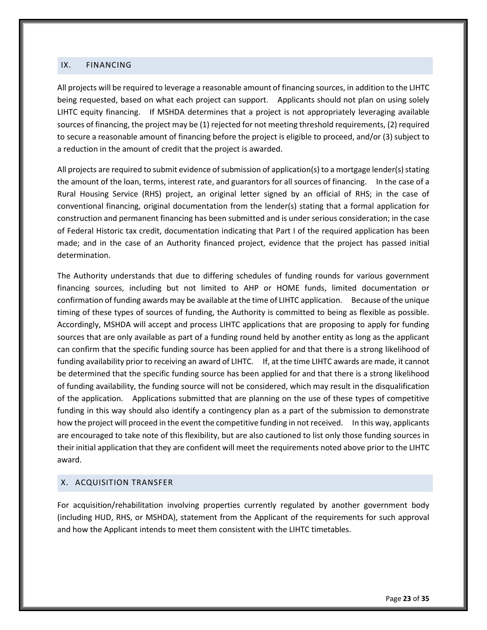#### <span id="page-27-2"></span><span id="page-27-0"></span>IX. FINANCING

All projects will be required to leverage a reasonable amount of financing sources, in addition to the LIHTC being requested, based on what each project can support. Applicants should not plan on using solely LIHTC equity financing. If MSHDA determines that a project is not appropriately leveraging available sources of financing, the project may be (1) rejected for not meeting threshold requirements, (2) required to secure a reasonable amount of financing before the project is eligible to proceed, and/or (3) subject to a reduction in the amount of credit that the project is awarded.

All projects are required to submit evidence of submission of application(s) to a mortgage lender(s) stating the amount of the loan, terms, interest rate, and guarantors for all sources of financing. In the case of a Rural Housing Service (RHS) project, an original letter signed by an official of RHS; in the case of conventional financing, original documentation from the lender(s) stating that a formal application for construction and permanent financing has been submitted and is under serious consideration; in the case of Federal Historic tax credit, documentation indicating that Part I of the required application has been made; and in the case of an Authority financed project, evidence that the project has passed initial determination.

The Authority understands that due to differing schedules of funding rounds for various government financing sources, including but not limited to AHP or HOME funds, limited documentation or confirmation of funding awards may be available at the time of LIHTC application. Because of the unique timing of these types of sources of funding, the Authority is committed to being as flexible as possible. Accordingly, MSHDA will accept and process LIHTC applications that are proposing to apply for funding sources that are only available as part of a funding round held by another entity as long as the applicant can confirm that the specific funding source has been applied for and that there is a strong likelihood of funding availability prior to receiving an award of LIHTC. If, at the time LIHTC awards are made, it cannot be determined that the specific funding source has been applied for and that there is a strong likelihood of funding availability, the funding source will not be considered, which may result in the disqualification of the application. Applications submitted that are planning on the use of these types of competitive funding in this way should also identify a contingency plan as a part of the submission to demonstrate how the project will proceed in the event the competitive funding in not received. In this way, applicants are encouraged to take note of this flexibility, but are also cautioned to list only those funding sources in their initial application that they are confident will meet the requirements noted above prior to the LIHTC award.

#### <span id="page-27-1"></span>X. ACQUISITION TRANSFER

<span id="page-27-3"></span>For acquisition/rehabilitation involving properties currently regulated by another government body (including HUD, RHS, or MSHDA), statement from the Applicant of the requirements for such approval and how the Applicant intends to meet them consistent with the LIHTC timetables.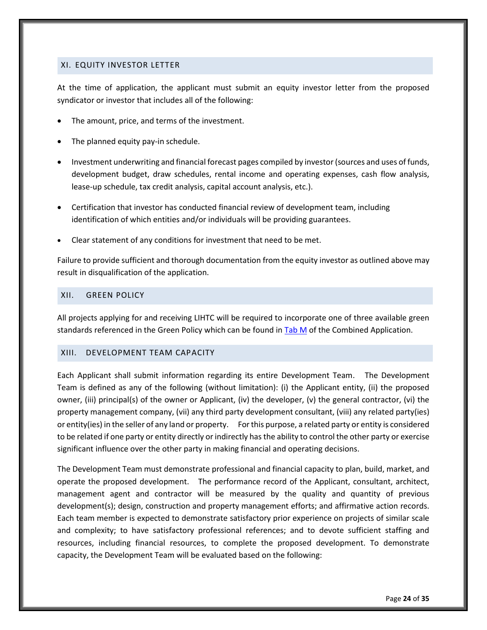#### <span id="page-28-0"></span>XI. EQUITY INVESTOR LETTER

At the time of application, the applicant must submit an equity investor letter from the proposed syndicator or investor that includes all of the following:

- The amount, price, and terms of the investment.
- The planned equity pay-in schedule.
- Investment underwriting and financial forecast pages compiled by investor (sources and uses of funds, development budget, draw schedules, rental income and operating expenses, cash flow analysis, lease-up schedule, tax credit analysis, capital account analysis, etc.).
- Certification that investor has conducted financial review of development team, including identification of which entities and/or individuals will be providing guarantees.
- Clear statement of any conditions for investment that need to be met.

Failure to provide sufficient and thorough documentation from the equity investor as outlined above may result in disqualification of the application.

#### <span id="page-28-3"></span><span id="page-28-1"></span>XII. GREEN POLICY

All projects applying for and receiving LIHTC will be required to incorporate one of three available green standards referenced in the Green Policy which can be found i[n Tab M](http://www.michigan.gov/mshda/0,4641,7-141-5587_5601-60010--,00.html) of the Combined Application.

## <span id="page-28-2"></span>XIII. DEVELOPMENT TEAM CAPACITY

Each Applicant shall submit information regarding its entire Development Team. The Development Team is defined as any of the following (without limitation): (i) the Applicant entity, (ii) the proposed owner, (iii) principal(s) of the owner or Applicant, (iv) the developer, (v) the general contractor, (vi) the property management company, (vii) any third party development consultant, (viii) any related party(ies) or entity(ies) in the seller of any land or property. For this purpose, a related party or entity is considered to be related if one party or entity directly or indirectly has the ability to control the other party or exercise significant influence over the other party in making financial and operating decisions.

The Development Team must demonstrate professional and financial capacity to plan, build, market, and operate the proposed development. The performance record of the Applicant, consultant, architect, management agent and contractor will be measured by the quality and quantity of previous development(s); design, construction and property management efforts; and affirmative action records. Each team member is expected to demonstrate satisfactory prior experience on projects of similar scale and complexity; to have satisfactory professional references; and to devote sufficient staffing and resources, including financial resources, to complete the proposed development. To demonstrate capacity, the Development Team will be evaluated based on the following: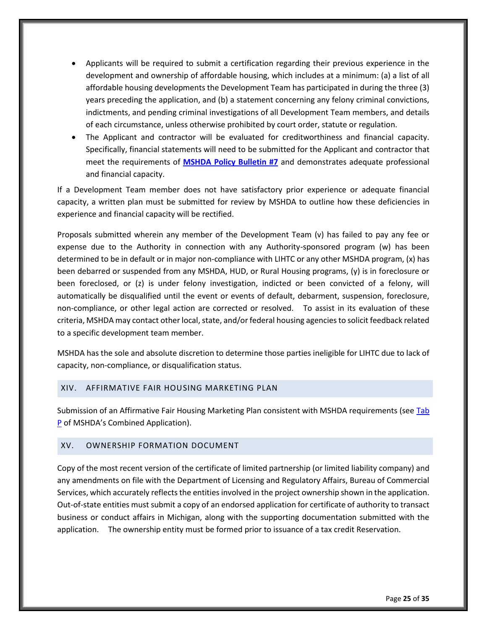- Applicants will be required to submit a certification regarding their previous experience in the development and ownership of affordable housing, which includes at a minimum: (a) a list of all affordable housing developments the Development Team has participated in during the three (3) years preceding the application, and (b) a statement concerning any felony criminal convictions, indictments, and pending criminal investigations of all Development Team members, and details of each circumstance, unless otherwise prohibited by court order, statute or regulation.
- The Applicant and contractor will be evaluated for creditworthiness and financial capacity. Specifically, financial statements will need to be submitted for the Applicant and contractor that meet the requirements of **[MSHDA Policy Bulletin #7](http://www.michigan.gov/documents/mshda/mshda_li_ca_32_tab_w_lihtc_policy_bulletins_183888_7.pdf)** and demonstrates adequate professional and financial capacity.

If a Development Team member does not have satisfactory prior experience or adequate financial capacity, a written plan must be submitted for review by MSHDA to outline how these deficiencies in experience and financial capacity will be rectified.

Proposals submitted wherein any member of the Development Team (v) has failed to pay any fee or expense due to the Authority in connection with any Authority-sponsored program (w) has been determined to be in default or in major non-compliance with LIHTC or any other MSHDA program, (x) has been debarred or suspended from any MSHDA, HUD, or Rural Housing programs, (y) is in foreclosure or been foreclosed, or (z) is under felony investigation, indicted or been convicted of a felony, will automatically be disqualified until the event or events of default, debarment, suspension, foreclosure, non-compliance, or other legal action are corrected or resolved. To assist in its evaluation of these criteria, MSHDA may contact other local, state, and/or federal housing agencies to solicit feedback related to a specific development team member.

MSHDA has the sole and absolute discretion to determine those parties ineligible for LIHTC due to lack of capacity, non-compliance, or disqualification status.

## <span id="page-29-0"></span>XIV. AFFIRMATIVE FAIR HOUSING MARKETING PLAN

Submission of an Affirmative Fair Housing Marketing Plan consistent with MSHDA requirements (see Tab [P](http://www.michigan.gov/mshda/0,4641,7-141-5587_5601-60010--,00.html) of MSHDA's Combined Application).

## <span id="page-29-1"></span>XV. OWNERSHIP FORMATION DOCUMENT

<span id="page-29-2"></span>Copy of the most recent version of the certificate of limited partnership (or limited liability company) and any amendments on file with the Department of Licensing and Regulatory Affairs, Bureau of Commercial Services, which accurately reflects the entities involved in the project ownership shown in the application. Out-of-state entities must submit a copy of an endorsed application for certificate of authority to transact business or conduct affairs in Michigan, along with the supporting documentation submitted with the application. The ownership entity must be formed prior to issuance of a tax credit Reservation.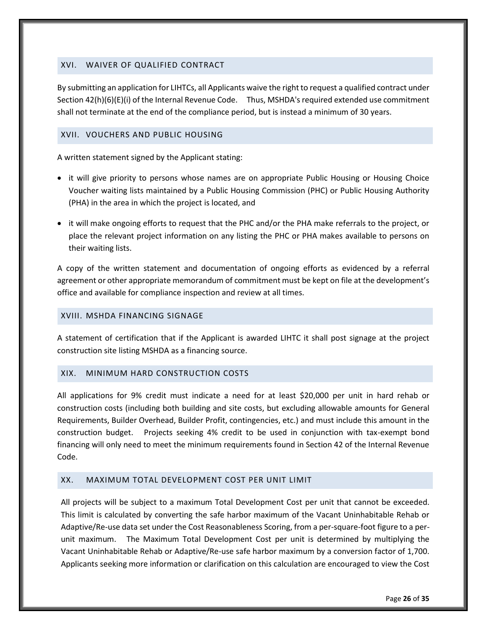## <span id="page-30-0"></span>XVI. WAIVER OF QUALIFIED CONTRACT

By submitting an application for LIHTCs, all Applicants waive the right to request a qualified contract under Section 42(h)(6)(E)(i) of the Internal Revenue Code. Thus, MSHDA's required extended use commitment shall not terminate at the end of the compliance period, but is instead a minimum of 30 years.

#### <span id="page-30-1"></span>XVII. VOUCHERS AND PUBLIC HOUSING

A written statement signed by the Applicant stating:

- it will give priority to persons whose names are on appropriate Public Housing or Housing Choice Voucher waiting lists maintained by a Public Housing Commission (PHC) or Public Housing Authority (PHA) in the area in which the project is located, and
- it will make ongoing efforts to request that the PHC and/or the PHA make referrals to the project, or place the relevant project information on any listing the PHC or PHA makes available to persons on their waiting lists.

A copy of the written statement and documentation of ongoing efforts as evidenced by a referral agreement or other appropriate memorandum of commitment must be kept on file at the development's office and available for compliance inspection and review at all times.

#### <span id="page-30-2"></span>XVIII. MSHDA FINANCING SIGNAGE

A statement of certification that if the Applicant is awarded LIHTC it shall post signage at the project construction site listing MSHDA as a financing source.

## <span id="page-30-3"></span>XIX. MINIMUM HARD CONSTRUCTION COSTS

All applications for 9% credit must indicate a need for at least \$20,000 per unit in hard rehab or construction costs (including both building and site costs, but excluding allowable amounts for General Requirements, Builder Overhead, Builder Profit, contingencies, etc.) and must include this amount in the construction budget. Projects seeking 4% credit to be used in conjunction with tax-exempt bond financing will only need to meet the minimum requirements found in Section 42 of the Internal Revenue Code.

## <span id="page-30-4"></span>XX. MAXIMUM TOTAL DEVELOPMENT COST PER UNIT LIMIT

All projects will be subject to a maximum Total Development Cost per unit that cannot be exceeded. This limit is calculated by converting the safe harbor maximum of the Vacant Uninhabitable Rehab or Adaptive/Re-use data set under the Cost Reasonableness Scoring, from a per-square-foot figure to a perunit maximum. The Maximum Total Development Cost per unit is determined by multiplying the Vacant Uninhabitable Rehab or Adaptive/Re-use safe harbor maximum by a conversion factor of 1,700. Applicants seeking more information or clarification on this calculation are encouraged to view the Cost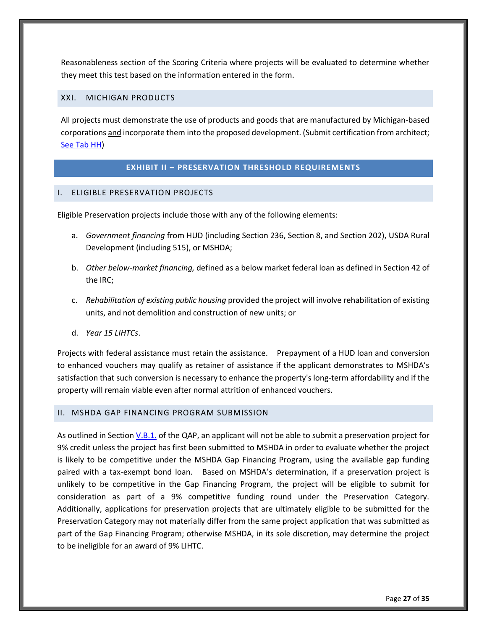Reasonableness section of the Scoring Criteria where projects will be evaluated to determine whether they meet this test based on the information entered in the form.

#### <span id="page-31-0"></span>XXI. MICHIGAN PRODUCTS

All projects must demonstrate the use of products and goods that are manufactured by Michigan-based corporations and incorporate them into the proposed development. (Submit certification from architect; [See Tab HH\)](http://www.michigan.gov/mshda/0,4641,7-141-5587_5601-60010--,00.html)

#### **EXHIBIT II – PRESERVATION THRESHOLD REQUIREMENTS**

## <span id="page-31-2"></span><span id="page-31-1"></span>I. ELIGIBLE PRESERVATION PROJECTS

Eligible Preservation projects include those with any of the following elements:

- a. *Government financing* from HUD (including Section 236, Section 8, and Section 202), USDA Rural Development (including 515), or MSHDA;
- b. *Other below-market financing,* defined as a below market federal loan as defined in Section 42 of the IRC;
- c. *Rehabilitation of existing public housing* provided the project will involve rehabilitation of existing units, and not demolition and construction of new units; or
- d. *Year 15 LIHTCs*.

Projects with federal assistance must retain the assistance. Prepayment of a HUD loan and conversion to enhanced vouchers may qualify as retainer of assistance if the applicant demonstrates to MSHDA's satisfaction that such conversion is necessary to enhance the property's long-term affordability and if the property will remain viable even after normal attrition of enhanced vouchers.

#### <span id="page-31-3"></span>II. MSHDA GAP FINANCING PROGRAM SUBMISSION

As outlined in Section [V.B.1.](#page-8-1) of the QAP, an applicant will not be able to submit a preservation project for 9% credit unless the project has first been submitted to MSHDA in order to evaluate whether the project is likely to be competitive under the MSHDA Gap Financing Program, using the available gap funding paired with a tax-exempt bond loan. Based on MSHDA's determination, if a preservation project is unlikely to be competitive in the Gap Financing Program, the project will be eligible to submit for consideration as part of a 9% competitive funding round under the Preservation Category. Additionally, applications for preservation projects that are ultimately eligible to be submitted for the Preservation Category may not materially differ from the same project application that was submitted as part of the Gap Financing Program; otherwise MSHDA, in its sole discretion, may determine the project to be ineligible for an award of 9% LIHTC.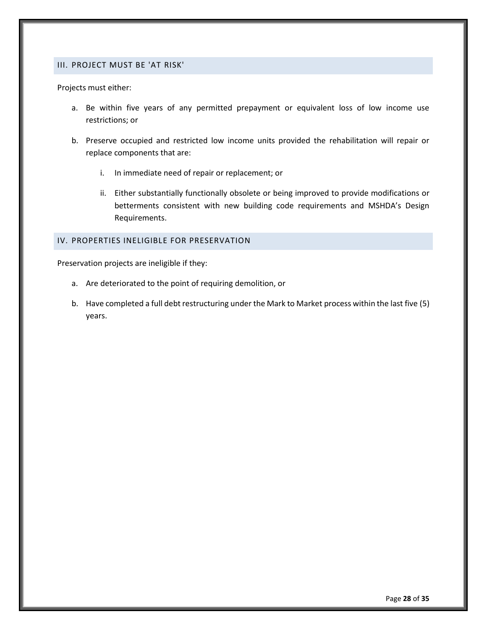#### <span id="page-32-0"></span>III. PROJECT MUST BE 'AT RISK'

Projects must either:

- a. Be within five years of any permitted prepayment or equivalent loss of low income use restrictions; or
- b. Preserve occupied and restricted low income units provided the rehabilitation will repair or replace components that are:
	- i. In immediate need of repair or replacement; or
	- ii. Either substantially functionally obsolete or being improved to provide modifications or betterments consistent with new building code requirements and MSHDA's Design Requirements.

#### <span id="page-32-1"></span>IV. PROPERTIES INELIGIBLE FOR PRESERVATION

Preservation projects are ineligible if they:

- a. Are deteriorated to the point of requiring demolition, or
- b. Have completed a full debt restructuring under the Mark to Market process within the last five (5) years.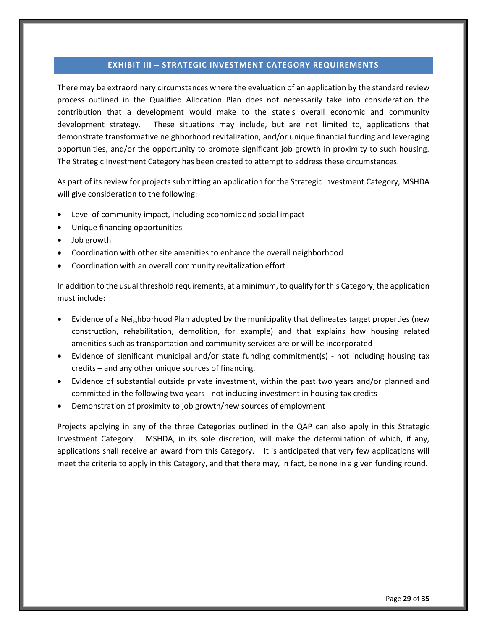#### **EXHIBIT III – STRATEGIC INVESTMENT CATEGORY REQUIREMENTS**

<span id="page-33-0"></span>There may be extraordinary circumstances where the evaluation of an application by the standard review process outlined in the Qualified Allocation Plan does not necessarily take into consideration the contribution that a development would make to the state's overall economic and community development strategy. These situations may include, but are not limited to, applications that demonstrate transformative neighborhood revitalization, and/or unique financial funding and leveraging opportunities, and/or the opportunity to promote significant job growth in proximity to such housing. The Strategic Investment Category has been created to attempt to address these circumstances.

As part of its review for projects submitting an application for the Strategic Investment Category, MSHDA will give consideration to the following:

- Level of community impact, including economic and social impact
- Unique financing opportunities
- Job growth
- Coordination with other site amenities to enhance the overall neighborhood
- Coordination with an overall community revitalization effort

In addition to the usual threshold requirements, at a minimum, to qualify for this Category, the application must include:

- Evidence of a Neighborhood Plan adopted by the municipality that delineates target properties (new construction, rehabilitation, demolition, for example) and that explains how housing related amenities such as transportation and community services are or will be incorporated
- Evidence of significant municipal and/or state funding commitment(s) not including housing tax credits – and any other unique sources of financing.
- Evidence of substantial outside private investment, within the past two years and/or planned and committed in the following two years - not including investment in housing tax credits
- Demonstration of proximity to job growth/new sources of employment

Projects applying in any of the three Categories outlined in the QAP can also apply in this Strategic Investment Category. MSHDA, in its sole discretion, will make the determination of which, if any, applications shall receive an award from this Category. It is anticipated that very few applications will meet the criteria to apply in this Category, and that there may, in fact, be none in a given funding round.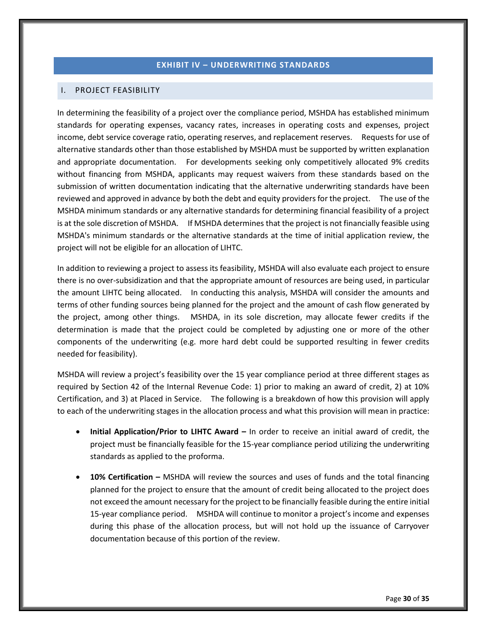## **EXHIBIT IV – UNDERWRITING STANDARDS**

#### <span id="page-34-1"></span><span id="page-34-0"></span>I. PROJECT FEASIBILITY

In determining the feasibility of a project over the compliance period, MSHDA has established minimum standards for operating expenses, vacancy rates, increases in operating costs and expenses, project income, debt service coverage ratio, operating reserves, and replacement reserves. Requests for use of alternative standards other than those established by MSHDA must be supported by written explanation and appropriate documentation. For developments seeking only competitively allocated 9% credits without financing from MSHDA, applicants may request waivers from these standards based on the submission of written documentation indicating that the alternative underwriting standards have been reviewed and approved in advance by both the debt and equity providers for the project. The use of the MSHDA minimum standards or any alternative standards for determining financial feasibility of a project is at the sole discretion of MSHDA. If MSHDA determines that the project is not financially feasible using MSHDA's minimum standards or the alternative standards at the time of initial application review, the project will not be eligible for an allocation of LIHTC.

In addition to reviewing a project to assess its feasibility, MSHDA will also evaluate each project to ensure there is no over-subsidization and that the appropriate amount of resources are being used, in particular the amount LIHTC being allocated. In conducting this analysis, MSHDA will consider the amounts and terms of other funding sources being planned for the project and the amount of cash flow generated by the project, among other things. MSHDA, in its sole discretion, may allocate fewer credits if the determination is made that the project could be completed by adjusting one or more of the other components of the underwriting (e.g. more hard debt could be supported resulting in fewer credits needed for feasibility).

MSHDA will review a project's feasibility over the 15 year compliance period at three different stages as required by Section 42 of the Internal Revenue Code: 1) prior to making an award of credit, 2) at 10% Certification, and 3) at Placed in Service. The following is a breakdown of how this provision will apply to each of the underwriting stages in the allocation process and what this provision will mean in practice:

- **Initial Application/Prior to LIHTC Award –** In order to receive an initial award of credit, the project must be financially feasible for the 15-year compliance period utilizing the underwriting standards as applied to the proforma.
- **10% Certification –** MSHDA will review the sources and uses of funds and the total financing planned for the project to ensure that the amount of credit being allocated to the project does not exceed the amount necessary for the project to be financially feasible during the entire initial 15-year compliance period. MSHDA will continue to monitor a project's income and expenses during this phase of the allocation process, but will not hold up the issuance of Carryover documentation because of this portion of the review.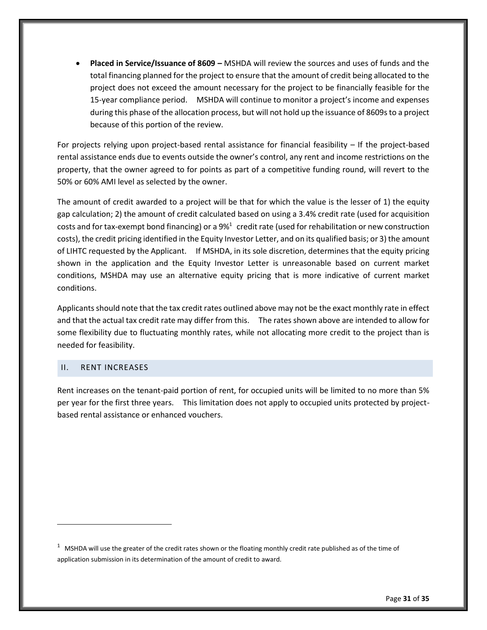**Placed in Service/Issuance of 8609 –** MSHDA will review the sources and uses of funds and the total financing planned for the project to ensure that the amount of credit being allocated to the project does not exceed the amount necessary for the project to be financially feasible for the 15-year compliance period. MSHDA will continue to monitor a project's income and expenses during this phase of the allocation process, but will not hold up the issuance of 8609s to a project because of this portion of the review.

For projects relying upon project-based rental assistance for financial feasibility – If the project-based rental assistance ends due to events outside the owner's control, any rent and income restrictions on the property, that the owner agreed to for points as part of a competitive funding round, will revert to the 50% or 60% AMI level as selected by the owner.

The amount of credit awarded to a project will be that for which the value is the lesser of 1) the equity gap calculation; 2) the amount of credit calculated based on using a 3.4% credit rate (used for acquisition costs and for tax-exempt bond financing) or a 9%<sup>1</sup> credit rate (used for rehabilitation or new construction costs), the credit pricing identified in the Equity Investor Letter, and on its qualified basis; or 3) the amount of LIHTC requested by the Applicant. If MSHDA, in its sole discretion, determines that the equity pricing shown in the application and the Equity Investor Letter is unreasonable based on current market conditions, MSHDA may use an alternative equity pricing that is more indicative of current market conditions.

Applicants should note that the tax credit rates outlined above may not be the exact monthly rate in effect and that the actual tax credit rate may differ from this. The rates shown above are intended to allow for some flexibility due to fluctuating monthly rates, while not allocating more credit to the project than is needed for feasibility.

## <span id="page-35-0"></span>II. RENT INCREASES

 $\overline{a}$ 

Rent increases on the tenant-paid portion of rent, for occupied units will be limited to no more than 5% per year for the first three years. This limitation does not apply to occupied units protected by projectbased rental assistance or enhanced vouchers.

 $1$  MSHDA will use the greater of the credit rates shown or the floating monthly credit rate published as of the time of application submission in its determination of the amount of credit to award.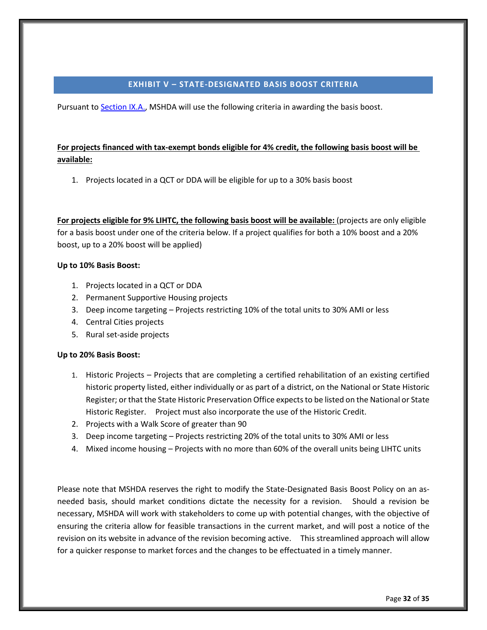#### **EXHIBIT V – STATE-DESIGNATED BASIS BOOST CRITERIA**

<span id="page-36-0"></span>Pursuant t[o Section IX.A.,](#page-16-1) MSHDA will use the following criteria in awarding the basis boost.

# **For projects financed with tax-exempt bonds eligible for 4% credit, the following basis boost will be available:**

1. Projects located in a QCT or DDA will be eligible for up to a 30% basis boost

**For projects eligible for 9% LIHTC, the following basis boost will be available:** (projects are only eligible for a basis boost under one of the criteria below. If a project qualifies for both a 10% boost and a 20% boost, up to a 20% boost will be applied)

## **Up to 10% Basis Boost:**

- 1. Projects located in a QCT or DDA
- 2. Permanent Supportive Housing projects
- 3. Deep income targeting Projects restricting 10% of the total units to 30% AMI or less
- 4. Central Cities projects
- 5. Rural set-aside projects

# **Up to 20% Basis Boost:**

- 1. Historic Projects Projects that are completing a certified rehabilitation of an existing certified historic property listed, either individually or as part of a district, on the National or State Historic Register; or that the State Historic Preservation Office expects to be listed on the National or State Historic Register. Project must also incorporate the use of the Historic Credit.
- 2. Projects with a Walk Score of greater than 90
- 3. Deep income targeting Projects restricting 20% of the total units to 30% AMI or less
- 4. Mixed income housing Projects with no more than 60% of the overall units being LIHTC units

Please note that MSHDA reserves the right to modify the State-Designated Basis Boost Policy on an asneeded basis, should market conditions dictate the necessity for a revision. Should a revision be necessary, MSHDA will work with stakeholders to come up with potential changes, with the objective of ensuring the criteria allow for feasible transactions in the current market, and will post a notice of the revision on its website in advance of the revision becoming active. This streamlined approach will allow for a quicker response to market forces and the changes to be effectuated in a timely manner.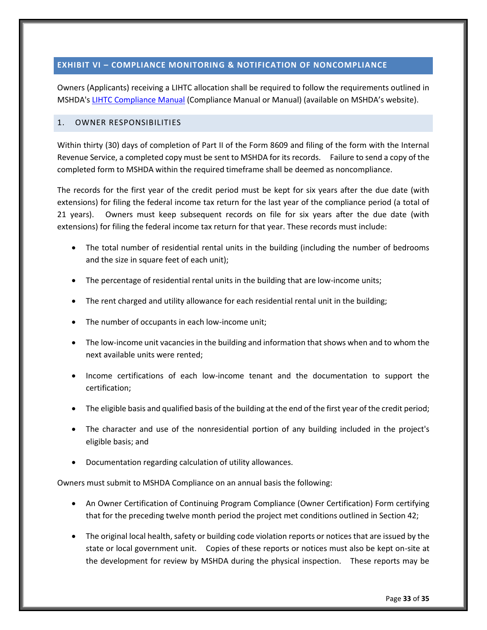## <span id="page-37-0"></span>**EXHIBIT VI – COMPLIANCE MONITORING & NOTIFICATION OF NONCOMPLIANCE**

Owners (Applicants) receiving a LIHTC allocation shall be required to follow the requirements outlined in MSHDA'[s LIHTC Compliance Manual](http://www.michigan.gov/mshda/0,4641,7-141-8002_26576_26578---,00.html) (Compliance Manual or Manual) (available on MSHDA's website).

#### <span id="page-37-1"></span>1. OWNER RESPONSIBILITIES

Within thirty (30) days of completion of Part II of the Form 8609 and filing of the form with the Internal Revenue Service, a completed copy must be sent to MSHDA for its records. Failure to send a copy of the completed form to MSHDA within the required timeframe shall be deemed as noncompliance.

The records for the first year of the credit period must be kept for six years after the due date (with extensions) for filing the federal income tax return for the last year of the compliance period (a total of 21 years). Owners must keep subsequent records on file for six years after the due date (with extensions) for filing the federal income tax return for that year. These records must include:

- The total number of residential rental units in the building (including the number of bedrooms and the size in square feet of each unit);
- The percentage of residential rental units in the building that are low-income units;
- The rent charged and utility allowance for each residential rental unit in the building;
- The number of occupants in each low-income unit;
- The low-income unit vacancies in the building and information that shows when and to whom the next available units were rented;
- Income certifications of each low-income tenant and the documentation to support the certification;
- The eligible basis and qualified basis of the building at the end of the first year of the credit period;
- The character and use of the nonresidential portion of any building included in the project's eligible basis; and
- Documentation regarding calculation of utility allowances.

Owners must submit to MSHDA Compliance on an annual basis the following:

- An Owner Certification of Continuing Program Compliance (Owner Certification) Form certifying that for the preceding twelve month period the project met conditions outlined in Section 42;
- The original local health, safety or building code violation reports or notices that are issued by the state or local government unit. Copies of these reports or notices must also be kept on-site at the development for review by MSHDA during the physical inspection. These reports may be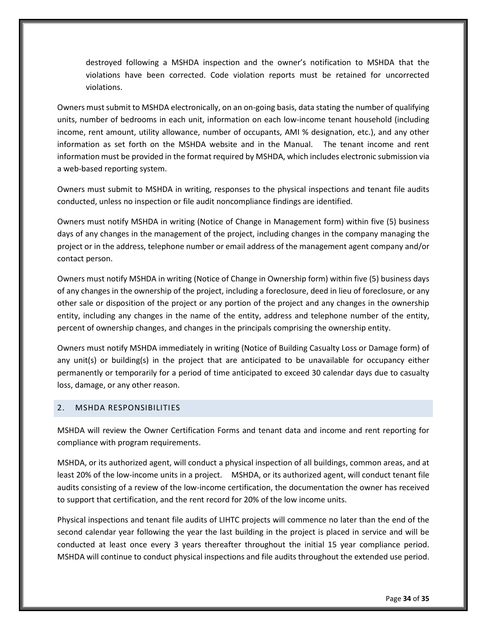destroyed following a MSHDA inspection and the owner's notification to MSHDA that the violations have been corrected. Code violation reports must be retained for uncorrected violations.

Owners must submit to MSHDA electronically, on an on-going basis, data stating the number of qualifying units, number of bedrooms in each unit, information on each low-income tenant household (including income, rent amount, utility allowance, number of occupants, AMI % designation, etc.), and any other information as set forth on the MSHDA website and in the Manual. The tenant income and rent information must be provided in the format required by MSHDA, which includes electronic submission via a web-based reporting system.

Owners must submit to MSHDA in writing, responses to the physical inspections and tenant file audits conducted, unless no inspection or file audit noncompliance findings are identified.

Owners must notify MSHDA in writing (Notice of Change in Management form) within five (5) business days of any changes in the management of the project, including changes in the company managing the project or in the address, telephone number or email address of the management agent company and/or contact person.

Owners must notify MSHDA in writing (Notice of Change in Ownership form) within five (5) business days of any changes in the ownership of the project, including a foreclosure, deed in lieu of foreclosure, or any other sale or disposition of the project or any portion of the project and any changes in the ownership entity, including any changes in the name of the entity, address and telephone number of the entity, percent of ownership changes, and changes in the principals comprising the ownership entity.

Owners must notify MSHDA immediately in writing (Notice of Building Casualty Loss or Damage form) of any unit(s) or building(s) in the project that are anticipated to be unavailable for occupancy either permanently or temporarily for a period of time anticipated to exceed 30 calendar days due to casualty loss, damage, or any other reason.

#### <span id="page-38-0"></span>2. MSHDA RESPONSIBILITIES

MSHDA will review the Owner Certification Forms and tenant data and income and rent reporting for compliance with program requirements.

MSHDA, or its authorized agent, will conduct a physical inspection of all buildings, common areas, and at least 20% of the low-income units in a project. MSHDA, or its authorized agent, will conduct tenant file audits consisting of a review of the low-income certification, the documentation the owner has received to support that certification, and the rent record for 20% of the low income units.

Physical inspections and tenant file audits of LIHTC projects will commence no later than the end of the second calendar year following the year the last building in the project is placed in service and will be conducted at least once every 3 years thereafter throughout the initial 15 year compliance period. MSHDA will continue to conduct physical inspections and file audits throughout the extended use period.